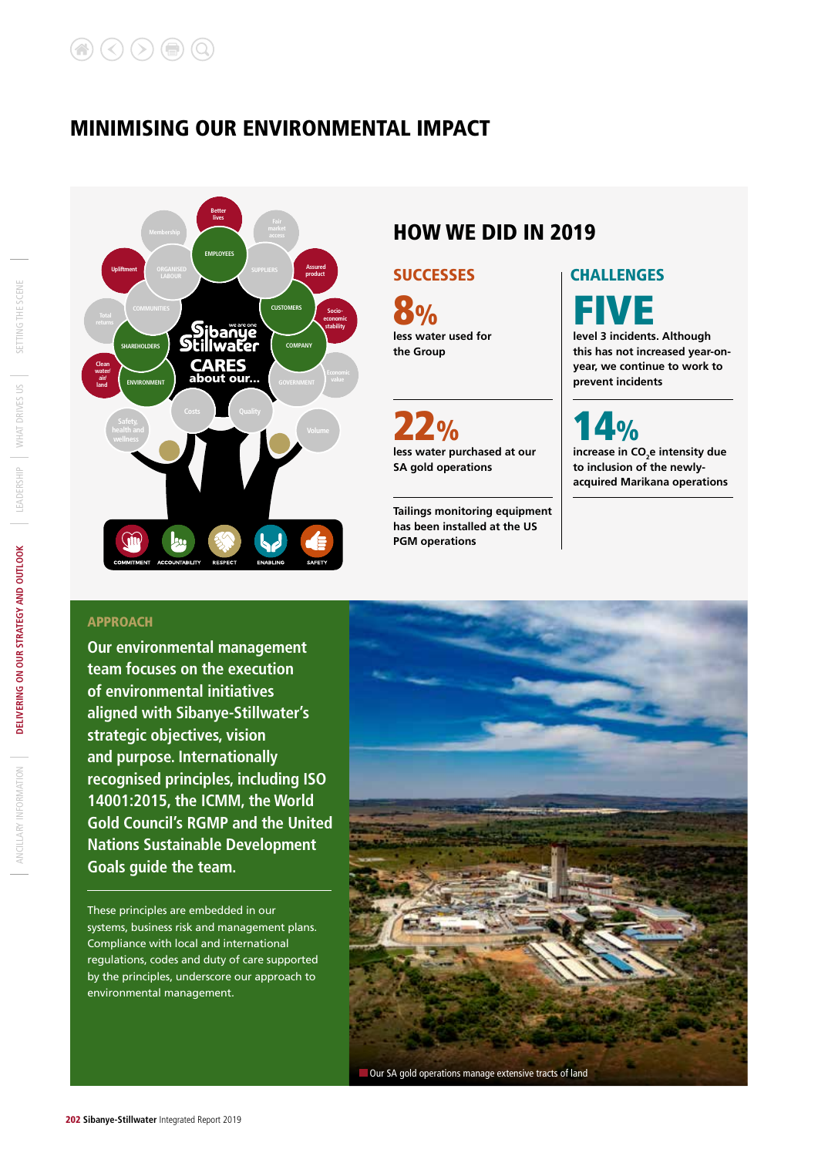### MINIMISING OUR ENVIRONMENTAL IMPACT



### HOW WE DID IN 2019

#### SUCCESSES **CHALLENGES**

**less water used for the Group** 8% FIVE

**less water purchased at our SA gold operations**

**Tailings monitoring equipment has been installed at the US PGM operations** 

**level 3 incidents. Although this has not increased year-onyear, we continue to work to prevent incidents**

increase in CO<sub>2</sub>e intensity due **to inclusion of the newlyacquired Marikana operations**  $4%$ 

#### APPROACH

**Our environmental management team focuses on the execution of environmental initiatives aligned with Sibanye-Stillwater's strategic objectives, vision and purpose. Internationally recognised principles, including ISO 14001:2015, the ICMM, the World Gold Council's RGMP and the United Nations Sustainable Development Goals guide the team.** 

These principles are embedded in our systems, business risk and management plans. Compliance with local and international regulations, codes and duty of care supported by the principles, underscore our approach to environmental management.

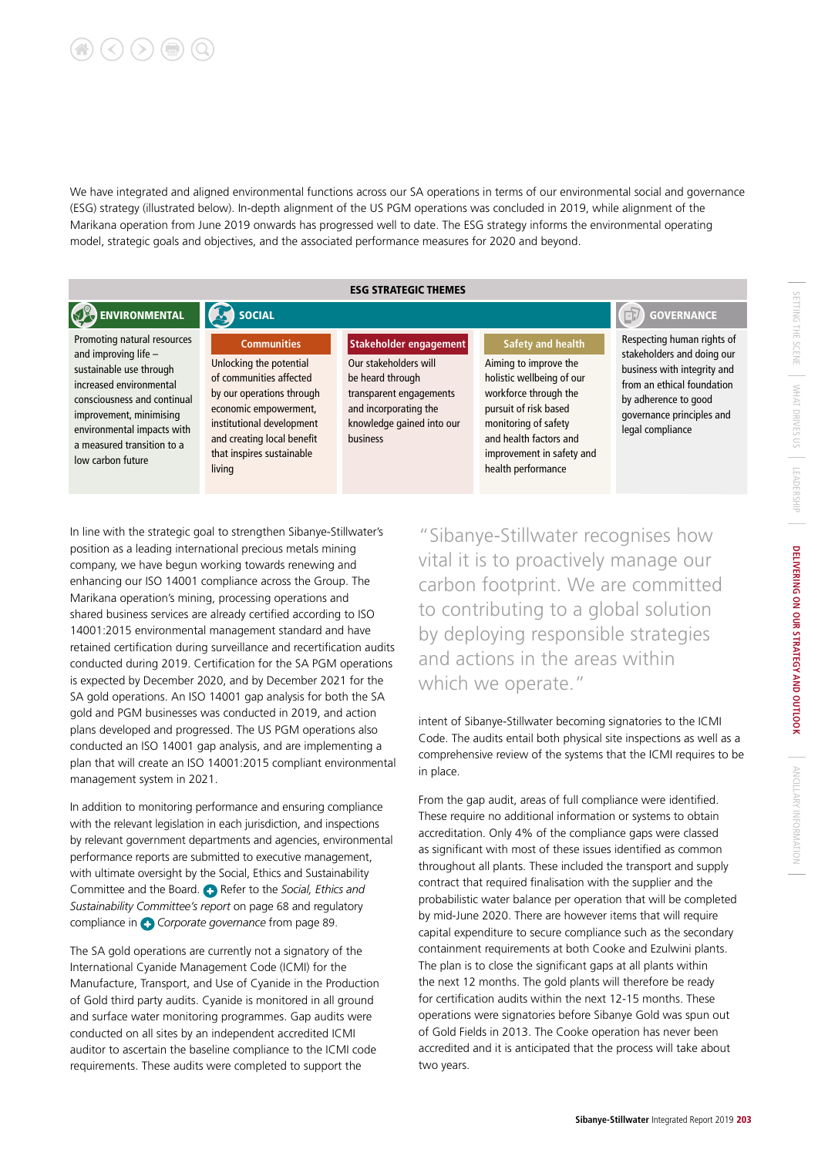# $\left(\langle\right)\left(\rangle\right)\left(\mathbf{r}\right)$

We have integrated and aligned environmental functions across our SA operations in terms of our environmental social and governance (ESG) strategy (illustrated below). In-depth alignment of the US PGM operations was concluded in 2019, while alignment of the Marikana operation from June 2019 onwards has progressed well to date. The ESG strategy informs the environmental operating model, strategic goals and objectives, and the associated performance measures for 2020 and beyond.

ESG STRATEGIC THEMES

#### ENVIRONMENTAL GOVERNANCE SOCIAL SOCIAL SOCIAL SOCIAL SOCIAL SOCIAL SOCIAL SOCIAL SOCIAL SOCIAL SOCIAL SOCIAL SOCIAL SOCIAL SOCIAL SOCIAL SOCIAL SOCIAL SOCIAL SOCIAL SOCIAL SOCIAL SOCIAL SOCIAL SOCIAL SOCIAL SOCIAL SOCIAL S

sustainable use through increased environmental consciousness and continual improvement, minimising environmental impacts with a measured transition to a low carbon future

Promoting natural resources and improving life – **Communities**

Unlocking the potential of communities affected by our operations through economic empowerment, institutional development and creating local benefit that inspires sustainable living

Our stakeholders will be heard through transparent engagements and incorporating the knowledge gained into our business

**Stakeholder engagement**

#### **Safety and health**

Aiming to improve the holistic wellbeing of our workforce through the pursuit of risk based monitoring of safety and health factors and improvement in safety and health performance

Respecting human rights of stakeholders and doing our business with integrity and from an ethical foundation by adherence to good governance principles and legal compliance

In line with the strategic goal to strengthen Sibanye-Stillwater's position as a leading international precious metals mining company, we have begun working towards renewing and enhancing our ISO 14001 compliance across the Group. The Marikana operation's mining, processing operations and shared business services are already certified according to ISO 14001:2015 environmental management standard and have retained certification during surveillance and recertification audits conducted during 2019. Certification for the SA PGM operations is expected by December 2020, and by December 2021 for the SA gold operations. An ISO 14001 gap analysis for both the SA gold and PGM businesses was conducted in 2019, and action plans developed and progressed. The US PGM operations also conducted an ISO 14001 gap analysis, and are implementing a plan that will create an ISO 14001:2015 compliant environmental management system in 2021.

In addition to monitoring performance and ensuring compliance with the relevant legislation in each jurisdiction, and inspections by relevant government departments and agencies, environmental performance reports are submitted to executive management, with ultimate oversight by the Social, Ethics and Sustainability Committee and the Board. **C** Refer to the *Social, Ethics and Sustainability Committee's report* on page 68 and regulatory compliance in *Corporate governance* from page 89.

The SA gold operations are currently not a signatory of the International Cyanide Management Code (ICMI) for the Manufacture, Transport, and Use of Cyanide in the Production of Gold third party audits. Cyanide is monitored in all ground and surface water monitoring programmes. Gap audits were conducted on all sites by an independent accredited ICMI auditor to ascertain the baseline compliance to the ICMI code requirements. These audits were completed to support the

"Sibanye-Stillwater recognises how vital it is to proactively manage our carbon footprint. We are committed to contributing to a global solution by deploying responsible strategies and actions in the areas within which we operate."

intent of Sibanye-Stillwater becoming signatories to the ICMI Code. The audits entail both physical site inspections as well as a comprehensive review of the systems that the ICMI requires to be in place.

From the gap audit, areas of full compliance were identified. These require no additional information or systems to obtain accreditation. Only 4% of the compliance gaps were classed as significant with most of these issues identified as common throughout all plants. These included the transport and supply contract that required finalisation with the supplier and the probabilistic water balance per operation that will be completed by mid-June 2020. There are however items that will require capital expenditure to secure compliance such as the secondary containment requirements at both Cooke and Ezulwini plants. The plan is to close the significant gaps at all plants within the next 12 months. The gold plants will therefore be ready for certification audits within the next 12-15 months. These operations were signatories before Sibanye Gold was spun out of Gold Fields in 2013. The Cooke operation has never been accredited and it is anticipated that the process will take about two years.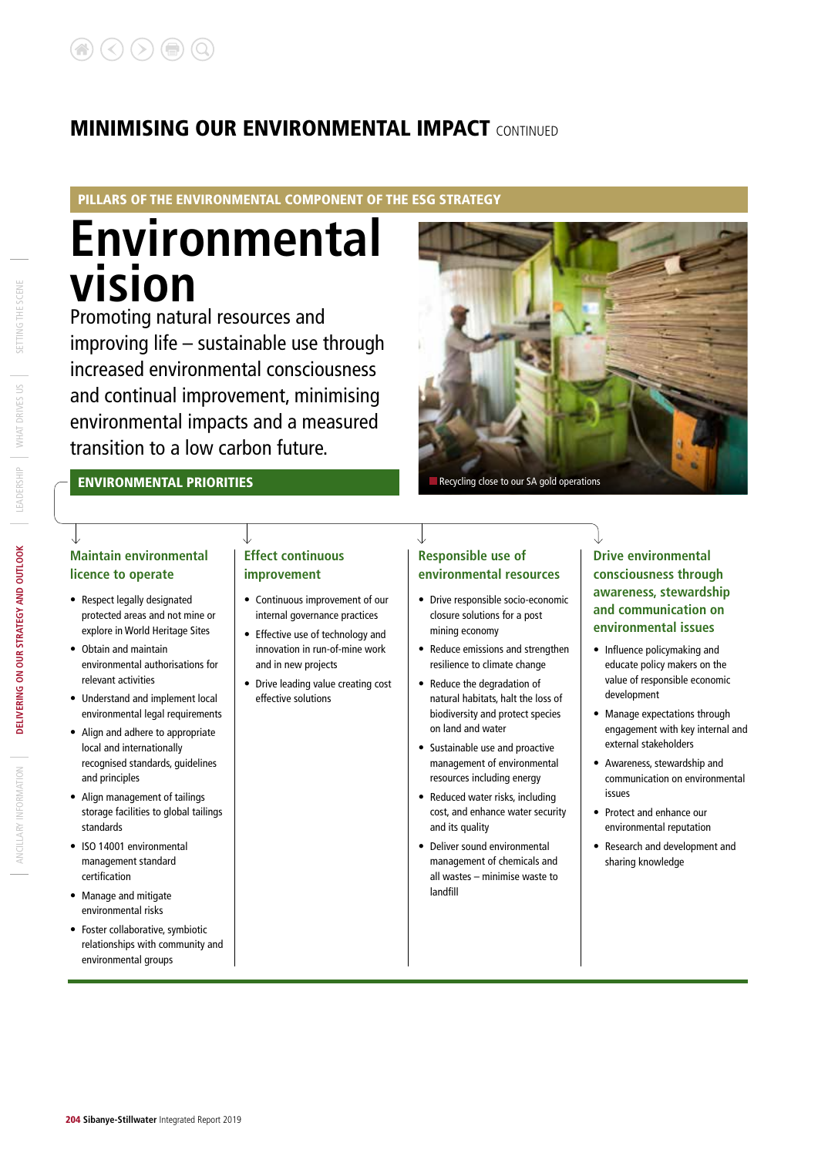#### PILLARS OF THE ENVIRONMENTAL COMPONENT OF THE ESG STRATEGY

# **Environmental vision**

Promoting natural resources and improving life – sustainable use through increased environmental consciousness and continual improvement, minimising environmental impacts and a measured transition to a low carbon future.



#### ENVIRONMENTAL PRIORITIES

#### **Maintain environmental licence to operate**

- Respect legally designated protected areas and not mine or explore in World Heritage Sites
- Obtain and maintain environmental authorisations for relevant activities
- Understand and implement local environmental legal requirements
- Align and adhere to appropriate local and internationally recognised standards, guidelines and principles
- Align management of tailings storage facilities to global tailings standards
- ISO 14001 environmental management standard certification
- Manage and mitigate environmental risks
- Foster collaborative, symbiotic relationships with community and environmental groups

### **Effect continuous improvement**

- Continuous improvement of our internal governance practices
- Effective use of technology and innovation in run-of-mine work and in new projects
- Drive leading value creating cost effective solutions

### **Responsible use of environmental resources**

- Drive responsible socio-economic closure solutions for a post mining economy
- Reduce emissions and strengthen resilience to climate change
- Reduce the degradation of natural habitats, halt the loss of biodiversity and protect species on land and water
- Sustainable use and proactive management of environmental resources including energy
- Reduced water risks, including cost, and enhance water security and its quality
- Deliver sound environmental management of chemicals and all wastes – minimise waste to landfill

#### **Drive environmental consciousness through awareness, stewardship and communication on environmental issues**

- Influence policymaking and educate policy makers on the value of responsible economic development
- Manage expectations through engagement with key internal and external stakeholders
- Awareness, stewardship and communication on environmental issues
- Protect and enhance our environmental reputation
- Research and development and sharing knowledge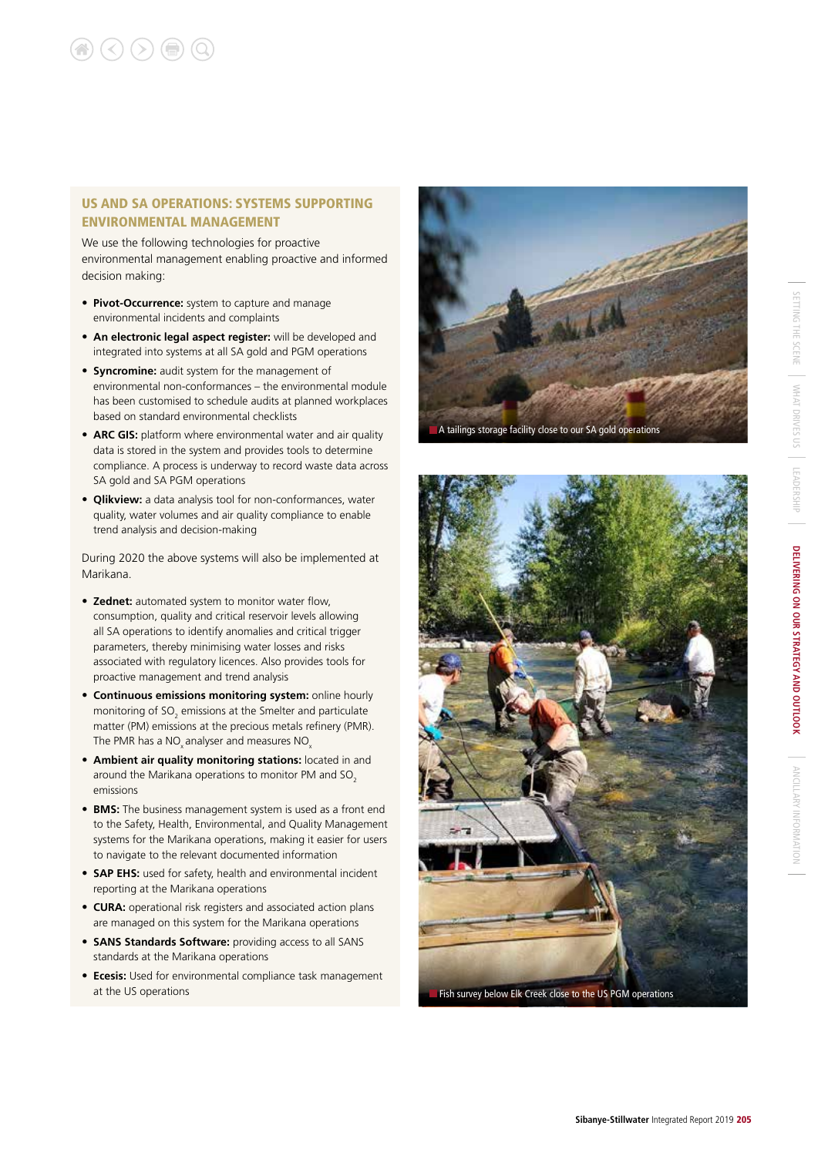#### US AND SA OPERATIONS: SYSTEMS SUPPORTING ENVIRONMENTAL MANAGEMENT

We use the following technologies for proactive environmental management enabling proactive and informed decision making:

- **Pivot-Occurrence:** system to capture and manage environmental incidents and complaints
- **An electronic legal aspect register:** will be developed and integrated into systems at all SA gold and PGM operations
- **Syncromine:** audit system for the management of environmental non-conformances – the environmental module has been customised to schedule audits at planned workplaces based on standard environmental checklists
- **ARC GIS:** platform where environmental water and air quality data is stored in the system and provides tools to determine compliance. A process is underway to record waste data across SA gold and SA PGM operations
- **Qlikview:** a data analysis tool for non-conformances, water quality, water volumes and air quality compliance to enable trend analysis and decision-making

During 2020 the above systems will also be implemented at Marikana.

- **Zednet:** automated system to monitor water flow, consumption, quality and critical reservoir levels allowing all SA operations to identify anomalies and critical trigger parameters, thereby minimising water losses and risks associated with regulatory licences. Also provides tools for proactive management and trend analysis
- **Continuous emissions monitoring system:** online hourly monitoring of SO<sub>2</sub> emissions at the Smelter and particulate matter (PM) emissions at the precious metals refinery (PMR). The PMR has a NO<sub>x</sub> analyser and measures NO<sub>x</sub>
- **Ambient air quality monitoring stations:** located in and around the Marikana operations to monitor PM and SO<sub>2</sub> emissions
- **BMS:** The business management system is used as a front end to the Safety, Health, Environmental, and Quality Management systems for the Marikana operations, making it easier for users to navigate to the relevant documented information
- **SAP EHS:** used for safety, health and environmental incident reporting at the Marikana operations
- **CURA:** operational risk registers and associated action plans are managed on this system for the Marikana operations
- **SANS Standards Software:** providing access to all SANS standards at the Marikana operations
- **Ecesis:** Used for environmental compliance task management at the US operations



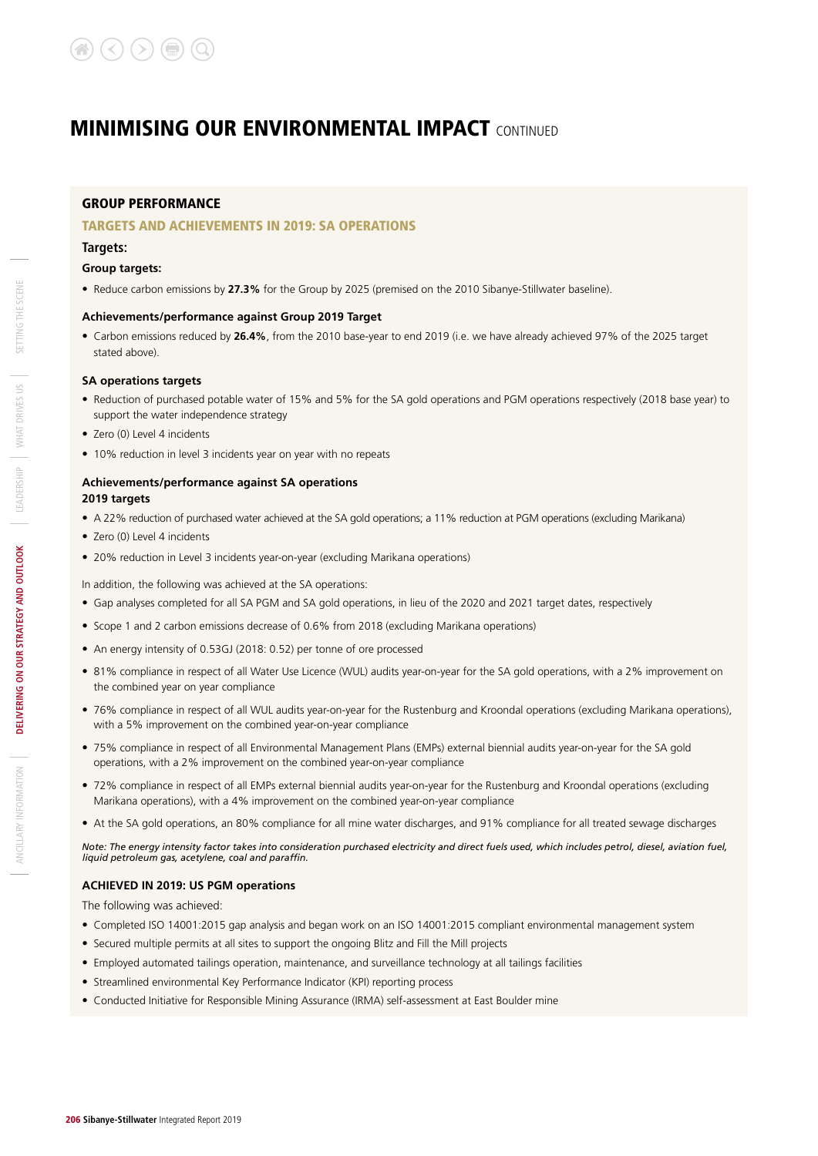#### GROUP PERFORMANCE

#### TARGETS AND ACHIEVEMENTS IN 2019: SA OPERATIONS

#### **Targets:**

#### **Group targets:**

• Reduce carbon emissions by **27.3%** for the Group by 2025 (premised on the 2010 Sibanye-Stillwater baseline).

#### **Achievements/performance against Group 2019 Target**

• Carbon emissions reduced by **26.4%**, from the 2010 base-year to end 2019 (i.e. we have already achieved 97% of the 2025 target stated above).

#### **SA operations targets**

- Reduction of purchased potable water of 15% and 5% for the SA gold operations and PGM operations respectively (2018 base year) to support the water independence strategy
- Zero (0) Level 4 incidents
- 10% reduction in level 3 incidents year on year with no repeats

#### **Achievements/performance against SA operations 2019 targets**

- A 22% reduction of purchased water achieved at the SA gold operations; a 11% reduction at PGM operations (excluding Marikana)
- Zero (0) Level 4 incidents
- 20% reduction in Level 3 incidents year-on-year (excluding Marikana operations)

In addition, the following was achieved at the SA operations:

- Gap analyses completed for all SA PGM and SA gold operations, in lieu of the 2020 and 2021 target dates, respectively
- Scope 1 and 2 carbon emissions decrease of 0.6% from 2018 (excluding Marikana operations)
- An energy intensity of 0.53GJ (2018: 0.52) per tonne of ore processed
- 81% compliance in respect of all Water Use Licence (WUL) audits year-on-year for the SA gold operations, with a 2% improvement on the combined year on year compliance
- 76% compliance in respect of all WUL audits year-on-year for the Rustenburg and Kroondal operations (excluding Marikana operations), with a 5% improvement on the combined year-on-year compliance
- 75% compliance in respect of all Environmental Management Plans (EMPs) external biennial audits year-on-year for the SA gold operations, with a 2% improvement on the combined year-on-year compliance
- 72% compliance in respect of all EMPs external biennial audits year-on-year for the Rustenburg and Kroondal operations (excluding Marikana operations), with a 4% improvement on the combined year-on-year compliance
- At the SA gold operations, an 80% compliance for all mine water discharges, and 91% compliance for all treated sewage discharges

*Note: The energy intensity factor takes into consideration purchased electricity and direct fuels used, which includes petrol, diesel, aviation fuel, liquid petroleum gas, acetylene, coal and paraffin.*

#### **ACHIEVED IN 2019: US PGM operations**

The following was achieved:

- Completed ISO 14001:2015 gap analysis and began work on an ISO 14001:2015 compliant environmental management system
- Secured multiple permits at all sites to support the ongoing Blitz and Fill the Mill projects
- Employed automated tailings operation, maintenance, and surveillance technology at all tailings facilities
- Streamlined environmental Key Performance Indicator (KPI) reporting process
- Conducted Initiative for Responsible Mining Assurance (IRMA) self-assessment at East Boulder mine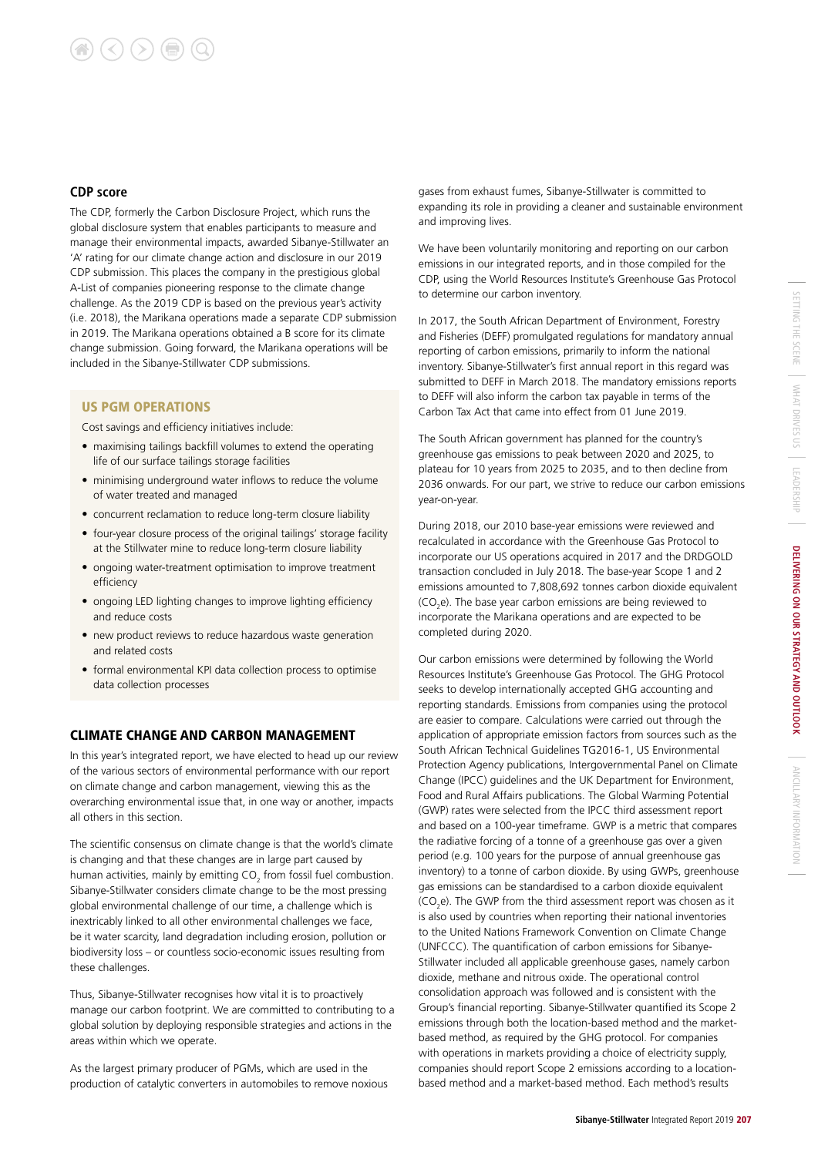## $\left(\bigtriangleup\right)\left(\bigtriangleup\right)\left(\bigoplus\right)\left(\bigoplus\right)$

#### **CDP score**

The CDP, formerly the Carbon Disclosure Project, which runs the global disclosure system that enables participants to measure and manage their environmental impacts, awarded Sibanye-Stillwater an 'A' rating for our climate change action and disclosure in our 2019 CDP submission. This places the company in the prestigious global A-List of companies pioneering response to the climate change challenge. As the 2019 CDP is based on the previous year's activity (i.e. 2018), the Marikana operations made a separate CDP submission in 2019. The Marikana operations obtained a B score for its climate change submission. Going forward, the Marikana operations will be included in the Sibanye-Stillwater CDP submissions.

#### US PGM OPERATIONS

Cost savings and efficiency initiatives include:

- maximising tailings backfill volumes to extend the operating life of our surface tailings storage facilities
- minimising underground water inflows to reduce the volume of water treated and managed
- concurrent reclamation to reduce long-term closure liability
- four-year closure process of the original tailings' storage facility at the Stillwater mine to reduce long-term closure liability
- ongoing water-treatment optimisation to improve treatment efficiency
- ongoing LED lighting changes to improve lighting efficiency and reduce costs
- new product reviews to reduce hazardous waste generation and related costs
- formal environmental KPI data collection process to optimise data collection processes

#### CLIMATE CHANGE AND CARBON MANAGEMENT

In this year's integrated report, we have elected to head up our review of the various sectors of environmental performance with our report on climate change and carbon management, viewing this as the overarching environmental issue that, in one way or another, impacts all others in this section.

The scientific consensus on climate change is that the world's climate is changing and that these changes are in large part caused by human activities, mainly by emitting  $CO_2$  from fossil fuel combustion. Sibanye-Stillwater considers climate change to be the most pressing global environmental challenge of our time, a challenge which is inextricably linked to all other environmental challenges we face, be it water scarcity, land degradation including erosion, pollution or biodiversity loss – or countless socio-economic issues resulting from these challenges.

Thus, Sibanye-Stillwater recognises how vital it is to proactively manage our carbon footprint. We are committed to contributing to a global solution by deploying responsible strategies and actions in the areas within which we operate.

As the largest primary producer of PGMs, which are used in the production of catalytic converters in automobiles to remove noxious

gases from exhaust fumes, Sibanye-Stillwater is committed to expanding its role in providing a cleaner and sustainable environment and improving lives.

We have been voluntarily monitoring and reporting on our carbon emissions in our integrated reports, and in those compiled for the CDP, using the World Resources Institute's Greenhouse Gas Protocol to determine our carbon inventory.

In 2017, the South African Department of Environment, Forestry and Fisheries (DEFF) promulgated regulations for mandatory annual reporting of carbon emissions, primarily to inform the national inventory. Sibanye-Stillwater's first annual report in this regard was submitted to DEFF in March 2018. The mandatory emissions reports to DEFF will also inform the carbon tax payable in terms of the Carbon Tax Act that came into effect from 01 June 2019.

The South African government has planned for the country's greenhouse gas emissions to peak between 2020 and 2025, to plateau for 10 years from 2025 to 2035, and to then decline from 2036 onwards. For our part, we strive to reduce our carbon emissions year-on-year.

During 2018, our 2010 base-year emissions were reviewed and recalculated in accordance with the Greenhouse Gas Protocol to incorporate our US operations acquired in 2017 and the DRDGOLD transaction concluded in July 2018. The base-year Scope 1 and 2 emissions amounted to 7,808,692 tonnes carbon dioxide equivalent  $(CO<sub>2</sub>e)$ . The base year carbon emissions are being reviewed to incorporate the Marikana operations and are expected to be completed during 2020.

Our carbon emissions were determined by following the World Resources Institute's Greenhouse Gas Protocol. The GHG Protocol seeks to develop internationally accepted GHG accounting and reporting standards. Emissions from companies using the protocol are easier to compare. Calculations were carried out through the application of appropriate emission factors from sources such as the South African Technical Guidelines TG2016-1, US Environmental Protection Agency publications, Intergovernmental Panel on Climate Change (IPCC) guidelines and the UK Department for Environment, Food and Rural Affairs publications. The Global Warming Potential (GWP) rates were selected from the IPCC third assessment report and based on a 100-year timeframe. GWP is a metric that compares the radiative forcing of a tonne of a greenhouse gas over a given period (e.g. 100 years for the purpose of annual greenhouse gas inventory) to a tonne of carbon dioxide. By using GWPs, greenhouse gas emissions can be standardised to a carbon dioxide equivalent  $\mathsf{(CO}_2\mathsf{e})$ . The GWP from the third assessment report was chosen as it is also used by countries when reporting their national inventories to the United Nations Framework Convention on Climate Change (UNFCCC). The quantification of carbon emissions for Sibanye-Stillwater included all applicable greenhouse gases, namely carbon dioxide, methane and nitrous oxide. The operational control consolidation approach was followed and is consistent with the Group's financial reporting. Sibanye-Stillwater quantified its Scope 2 emissions through both the location-based method and the marketbased method, as required by the GHG protocol. For companies with operations in markets providing a choice of electricity supply, companies should report Scope 2 emissions according to a locationbased method and a market-based method. Each method's results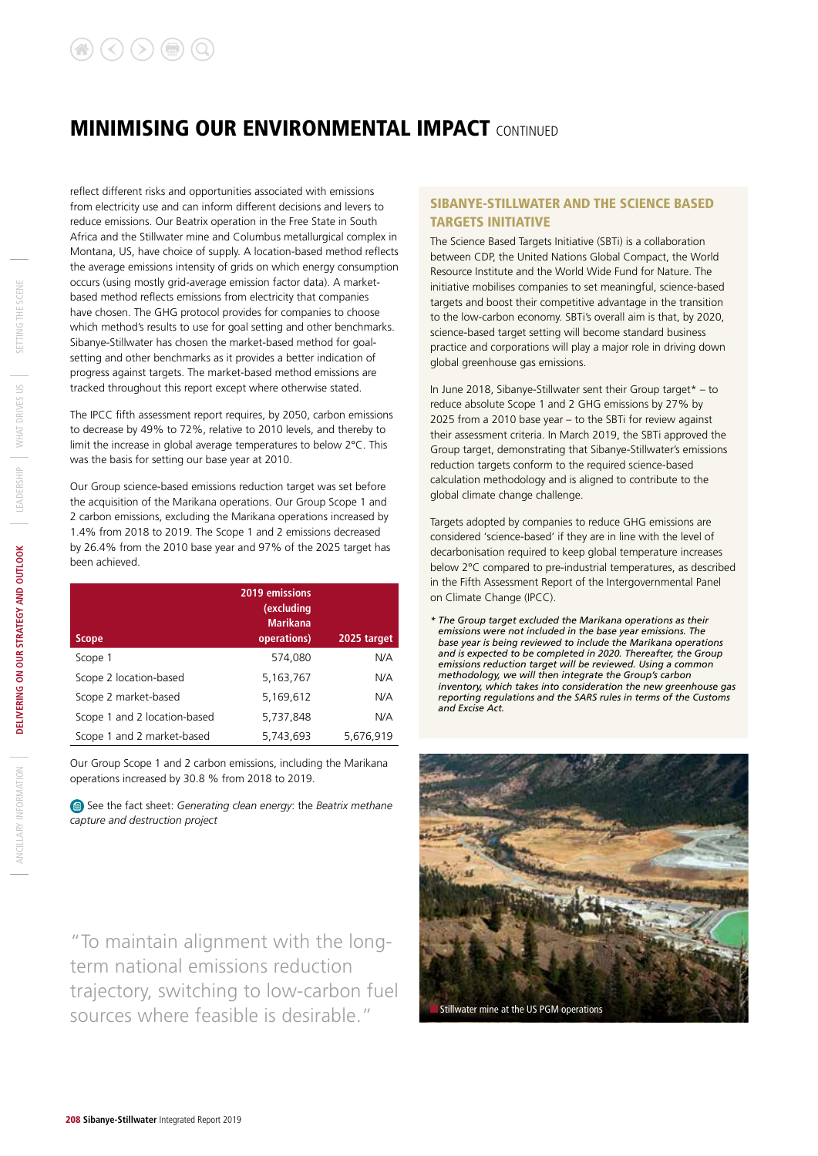reflect different risks and opportunities associated with emissions from electricity use and can inform different decisions and levers to reduce emissions. Our Beatrix operation in the Free State in South Africa and the Stillwater mine and Columbus metallurgical complex in Montana, US, have choice of supply. A location-based method reflects the average emissions intensity of grids on which energy consumption occurs (using mostly grid-average emission factor data). A marketbased method reflects emissions from electricity that companies have chosen. The GHG protocol provides for companies to choose which method's results to use for goal setting and other benchmarks. Sibanye-Stillwater has chosen the market-based method for goalsetting and other benchmarks as it provides a better indication of progress against targets. The market-based method emissions are tracked throughout this report except where otherwise stated.

The IPCC fifth assessment report requires, by 2050, carbon emissions to decrease by 49% to 72%, relative to 2010 levels, and thereby to limit the increase in global average temperatures to below 2°C. This was the basis for setting our base year at 2010.

Our Group science-based emissions reduction target was set before the acquisition of the Marikana operations. Our Group Scope 1 and 2 carbon emissions, excluding the Marikana operations increased by 1.4% from 2018 to 2019. The Scope 1 and 2 emissions decreased by 26.4% from the 2010 base year and 97% of the 2025 target has been achieved.

| <b>Scope</b>                 | 2019 emissions<br>(excluding<br><b>Marikana</b><br>operations) | 2025 target |
|------------------------------|----------------------------------------------------------------|-------------|
| Scope 1                      | 574,080                                                        | N/A         |
| Scope 2 location-based       | 5,163,767                                                      | N/A         |
| Scope 2 market-based         | 5,169,612                                                      | N/A         |
| Scope 1 and 2 location-based | 5,737,848                                                      | N/A         |
| Scope 1 and 2 market-based   | 5,743,693                                                      | 5,676,919   |

Our Group Scope 1 and 2 carbon emissions, including the Marikana operations increased by 30.8 % from 2018 to 2019.

 See the fact sheet: *Generating clean energy*: the *Beatrix methane capture and destruction project*

"To maintain alignment with the longterm national emissions reduction trajectory, switching to low-carbon fuel sources where feasible is desirable." Stillwater mine at the US PGM operations

#### SIBANYE-STILLWATER AND THE SCIENCE BASED TARGETS INITIATIVE

The Science Based Targets Initiative (SBTi) is a collaboration between CDP, the United Nations Global Compact, the World Resource Institute and the World Wide Fund for Nature. The initiative mobilises companies to set meaningful, science-based targets and boost their competitive advantage in the transition to the low-carbon economy. SBTi's overall aim is that, by 2020, science-based target setting will become standard business practice and corporations will play a major role in driving down global greenhouse gas emissions.

In June 2018, Sibanye-Stillwater sent their Group target\* – to reduce absolute Scope 1 and 2 GHG emissions by 27% by 2025 from a 2010 base year – to the SBTi for review against their assessment criteria. In March 2019, the SBTi approved the Group target, demonstrating that Sibanye-Stillwater's emissions reduction targets conform to the required science-based calculation methodology and is aligned to contribute to the global climate change challenge.

Targets adopted by companies to reduce GHG emissions are considered 'science-based' if they are in line with the level of decarbonisation required to keep global temperature increases below 2°C compared to pre-industrial temperatures, as described in the Fifth Assessment Report of the Intergovernmental Panel on Climate Change (IPCC).

*\* The Group target excluded the Marikana operations as their emissions were not included in the base year emissions. The base year is being reviewed to include the Marikana operations and is expected to be completed in 2020. Thereafter, the Group emissions reduction target will be reviewed. Using a common methodology, we will then integrate the Group's carbon inventory, which takes into consideration the new greenhouse gas reporting regulations and the SARS rules in terms of the Customs and Excise Act.*

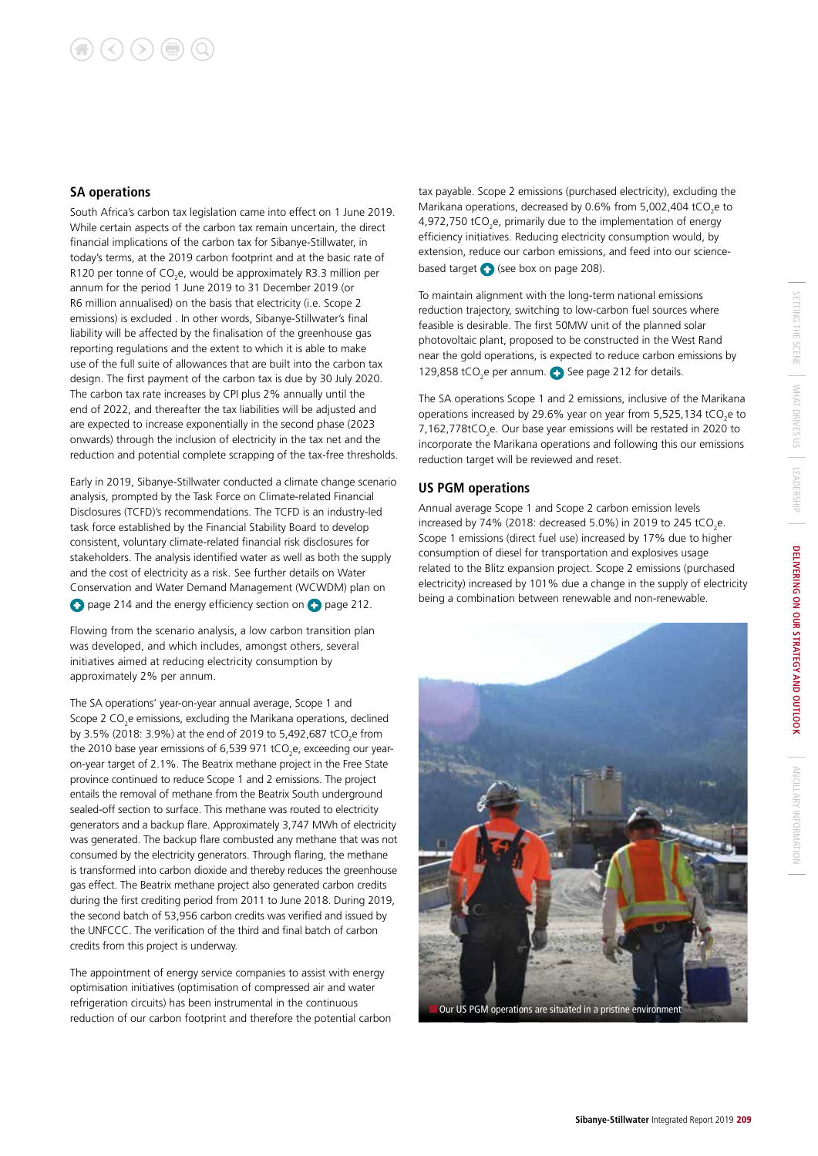#### **SA operations**

South Africa's carbon tax legislation came into effect on 1 June 2019. While certain aspects of the carbon tax remain uncertain, the direct financial implications of the carbon tax for Sibanye-Stillwater, in today's terms, at the 2019 carbon footprint and at the basic rate of R120 per tonne of  $CO<sub>2</sub>e$ , would be approximately R3.3 million per annum for the period 1 June 2019 to 31 December 2019 (or R6 million annualised) on the basis that electricity (i.e. Scope 2 emissions) is excluded . In other words, Sibanye-Stillwater's final liability will be affected by the finalisation of the greenhouse gas reporting regulations and the extent to which it is able to make use of the full suite of allowances that are built into the carbon tax design. The first payment of the carbon tax is due by 30 July 2020. The carbon tax rate increases by CPI plus 2% annually until the end of 2022, and thereafter the tax liabilities will be adjusted and are expected to increase exponentially in the second phase (2023 onwards) through the inclusion of electricity in the tax net and the reduction and potential complete scrapping of the tax-free thresholds.

Early in 2019, Sibanye-Stillwater conducted a climate change scenario analysis, prompted by the Task Force on Climate-related Financial Disclosures (TCFD)'s recommendations. The TCFD is an industry-led task force established by the Financial Stability Board to develop consistent, voluntary climate-related financial risk disclosures for stakeholders. The analysis identified water as well as both the supply and the cost of electricity as a risk. See further details on Water Conservation and Water Demand Management (WCWDM) plan on **O** page 214 and the energy efficiency section on **O** page 212.

Flowing from the scenario analysis, a low carbon transition plan was developed, and which includes, amongst others, several initiatives aimed at reducing electricity consumption by approximately 2% per annum.

The SA operations' year-on-year annual average, Scope 1 and Scope 2  $CO<sub>2</sub>e$  emissions, excluding the Marikana operations, declined by 3.5% (2018: 3.9%) at the end of 2019 to 5,492,687 tCO<sub>2</sub>e from the 2010 base year emissions of 6,539 971 tCO<sub>2</sub>e, exceeding our yearon-year target of 2.1%. The Beatrix methane project in the Free State province continued to reduce Scope 1 and 2 emissions. The project entails the removal of methane from the Beatrix South underground sealed-off section to surface. This methane was routed to electricity generators and a backup flare. Approximately 3,747 MWh of electricity was generated. The backup flare combusted any methane that was not consumed by the electricity generators. Through flaring, the methane is transformed into carbon dioxide and thereby reduces the greenhouse gas effect. The Beatrix methane project also generated carbon credits during the first crediting period from 2011 to June 2018. During 2019, the second batch of 53,956 carbon credits was verified and issued by the UNFCCC. The verification of the third and final batch of carbon credits from this project is underway.

The appointment of energy service companies to assist with energy optimisation initiatives (optimisation of compressed air and water refrigeration circuits) has been instrumental in the continuous reduction of our carbon footprint and therefore the potential carbon

tax payable. Scope 2 emissions (purchased electricity), excluding the Marikana operations, decreased by 0.6% from 5,002,404 tCO<sub>2</sub>e to 4,972,750 tCO<sub>2</sub>e, primarily due to the implementation of energy efficiency initiatives. Reducing electricity consumption would, by extension, reduce our carbon emissions, and feed into our sciencebased target  $\bigodot$  (see box on page 208).

To maintain alignment with the long-term national emissions reduction trajectory, switching to low-carbon fuel sources where feasible is desirable. The first 50MW unit of the planned solar photovoltaic plant, proposed to be constructed in the West Rand near the gold operations, is expected to reduce carbon emissions by 129,858 tCO<sub>2</sub>e per annum.  $\bullet$  See page 212 for details.

The SA operations Scope 1 and 2 emissions, inclusive of the Marikana operations increased by 29.6% year on year from 5,525,134 tCO<sub>2</sub>e to 7,162,778tCO<sub>2</sub>e. Our base year emissions will be restated in 2020 to incorporate the Marikana operations and following this our emissions reduction target will be reviewed and reset.

#### **US PGM operations**

Annual average Scope 1 and Scope 2 carbon emission levels increased by 74% (2018: decreased 5.0%) in 2019 to 245 tCO<sub>2</sub>e. Scope 1 emissions (direct fuel use) increased by 17% due to higher consumption of diesel for transportation and explosives usage related to the Blitz expansion project. Scope 2 emissions (purchased electricity) increased by 101% due a change in the supply of electricity being a combination between renewable and non-renewable.

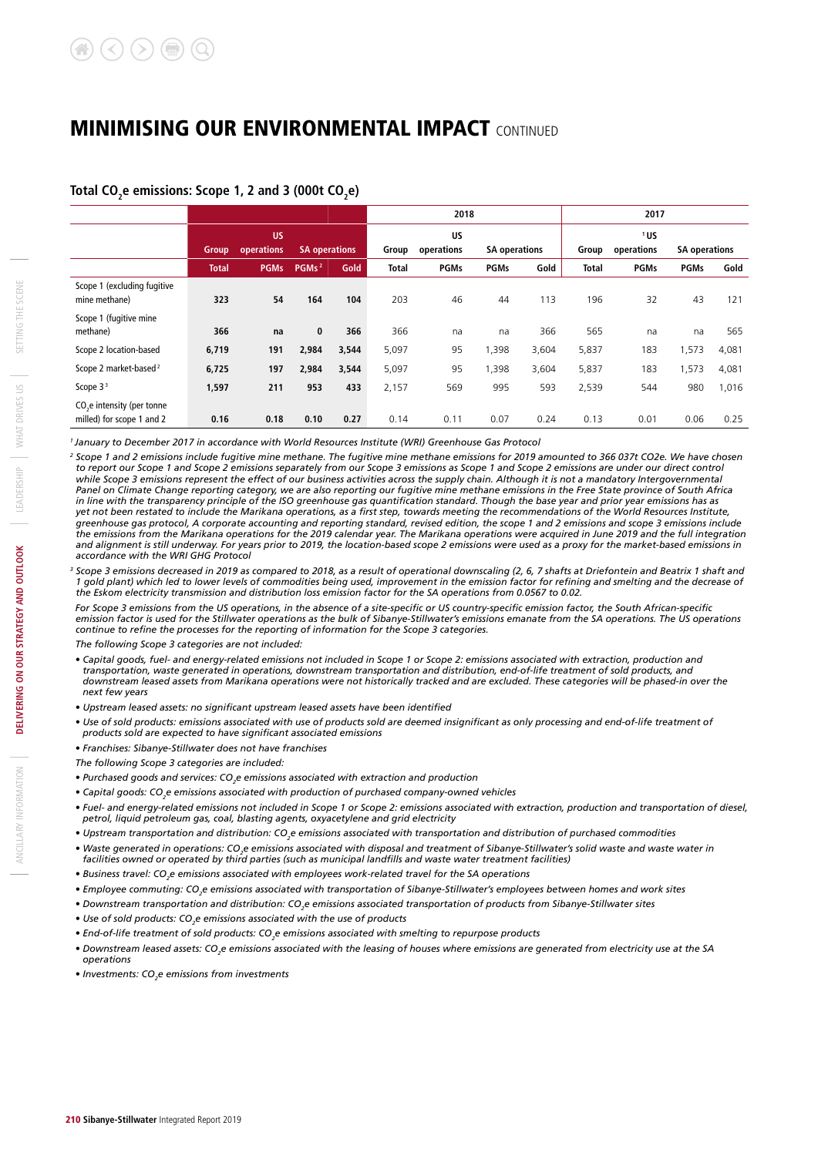#### Total CO<sub>2</sub>e emissions: Scope 1, 2 and 3 (000t CO<sub>2</sub>e)

|                                                                     |                                                          |             |                   |                                                 |              | 2018        |                                                    |       |              | 2017        |             |       |  |
|---------------------------------------------------------------------|----------------------------------------------------------|-------------|-------------------|-------------------------------------------------|--------------|-------------|----------------------------------------------------|-------|--------------|-------------|-------------|-------|--|
|                                                                     | <b>US</b><br>operations<br><b>SA operations</b><br>Group |             | Group             | <b>US</b><br>operations<br><b>SA operations</b> |              |             | 1US<br>operations<br>Group<br><b>SA operations</b> |       |              |             |             |       |  |
|                                                                     | <b>Total</b>                                             | <b>PGMs</b> | PGMs <sup>2</sup> | Gold                                            | <b>Total</b> | <b>PGMs</b> | <b>PGMs</b>                                        | Gold  | <b>Total</b> | <b>PGMs</b> | <b>PGMs</b> | Gold  |  |
| Scope 1 (excluding fugitive<br>mine methane)                        | 323                                                      | 54          | 164               | 104                                             | 203          | 46          | 44                                                 | 113   | 196          | 32          | 43          | 121   |  |
| Scope 1 (fugitive mine<br>methane)                                  | 366                                                      | na          | $\bf{0}$          | 366                                             | 366          | na          | na                                                 | 366   | 565          | na          | na          | 565   |  |
| Scope 2 location-based                                              | 6,719                                                    | 191         | 2,984             | 3,544                                           | 5,097        | 95          | 1,398                                              | 3,604 | 5,837        | 183         | 1,573       | 4,081 |  |
| Scope 2 market-based <sup>2</sup>                                   | 6,725                                                    | 197         | 2,984             | 3,544                                           | 5,097        | 95          | 1,398                                              | 3,604 | 5,837        | 183         | 1,573       | 4,081 |  |
| Scope $33$                                                          | 1,597                                                    | 211         | 953               | 433                                             | 2,157        | 569         | 995                                                | 593   | 2,539        | 544         | 980         | 1,016 |  |
| CO <sub>2</sub> e intensity (per tonne<br>milled) for scope 1 and 2 | 0.16                                                     | 0.18        | 0.10              | 0.27                                            | 0.14         | 0.11        | 0.07                                               | 0.24  | 0.13         | 0.01        | 0.06        | 0.25  |  |

*1 January to December 2017 in accordance with World Resources Institute (WRI) Greenhouse Gas Protocol*

<sup>2</sup> Scope 1 and 2 emissions include fugitive mine methane. The fugitive mine methane emissions for 2019 amounted to 366 037t CO2e. We have chosen *to report our Scope 1 and Scope 2 emissions separately from our Scope 3 emissions as Scope 1 and Scope 2 emissions are under our direct control*  while Scope 3 emissions represent the effect of our business activities across the supply chain. Although it is not a mandatory Intergovernmental *Panel on Climate Change reporting category, we are also reporting our fugitive mine methane emissions in the Free State province of South Africa in line with the transparency principle of the ISO greenhouse gas quantification standard. Though the base year and prior year emissions has as yet not been restated to include the Marikana operations, as a first step, towards meeting the recommendations of the World Resources Institute, greenhouse gas protocol, A corporate accounting and reporting standard, revised edition, the scope 1 and 2 emissions and scope 3 emissions include the emissions from the Marikana operations for the 2019 calendar year. The Marikana operations were acquired in June 2019 and the full integration and alignment is still underway. For years prior to 2019, the location-based scope 2 emissions were used as a proxy for the market-based emissions in accordance with the WRI GHG Protocol* 

<sup>3</sup> Scope 3 emissions decreased in 2019 as compared to 2018, as a result of operational downscaling (2, 6, 7 shafts at Driefontein and Beatrix 1 shaft and *1 gold plant) which led to lower levels of commodities being used, improvement in the emission factor for refining and smelting and the decrease of the Eskom electricity transmission and distribution loss emission factor for the SA operations from 0.0567 to 0.02.*

*For Scope 3 emissions from the US operations, in the absence of a site-specific or US country-specific emission factor, the South African-specific emission factor is used for the Stillwater operations as the bulk of Sibanye-Stillwater's emissions emanate from the SA operations. The US operations continue to refine the processes for the reporting of information for the Scope 3 categories.*

*The following Scope 3 categories are not included:*

- *Capital goods, fuel- and energy-related emissions not included in Scope 1 or Scope 2: emissions associated with extraction, production and transportation, waste generated in operations, downstream transportation and distribution, end-of-life treatment of sold products, and downstream leased assets from Marikana operations were not historically tracked and are excluded. These categories will be phased-in over the next few years*
- *Upstream leased assets: no significant upstream leased assets have been identified*
- *Use of sold products: emissions associated with use of products sold are deemed insignificant as only processing and end-of-life treatment of products sold are expected to have significant associated emissions*
- *Franchises: Sibanye-Stillwater does not have franchises*
- *The following Scope 3 categories are included:*
- *Purchased goods and services: CO2 e emissions associated with extraction and production*
- **Capital goods: CO<sub>2</sub>e emissions associated with production of purchased company-owned vehicles**
- *Fuel- and energy-related emissions not included in Scope 1 or Scope 2: emissions associated with extraction, production and transportation of diesel, petrol, liquid petroleum gas, coal, blasting agents, oxyacetylene and grid electricity*
- *Upstream transportation and distribution: CO2 e emissions associated with transportation and distribution of purchased commodities*
- **•** Waste generated in operations: CO<sub>2</sub>e emissions associated with disposal and treatment of Sibanye-Stillwater's solid waste and waste water in *facilities owned or operated by third parties (such as municipal landfills and waste water treatment facilities)*
- *Business travel: CO2 e emissions associated with employees work-related travel for the SA operations*
- *Employee commuting: CO2 e emissions associated with transportation of Sibanye-Stillwater's employees between homes and work sites*
- Downstream transportation and distribution: CO<sub>2</sub>e emissions associated transportation of products from Sibanye-Stillwater sites
- **•** Use of sold products: CO<sub>2</sub>e emissions associated with the use of products
- *End-of-life treatment of sold products: CO2 e emissions associated with smelting to repurpose products*
- $\bullet$  Downstream leased assets: CO<sub>2</sub>e emissions associated with the leasing of houses where emissions are generated from electricity use at the SA *operations*
- *Investments: CO2 e emissions from investments*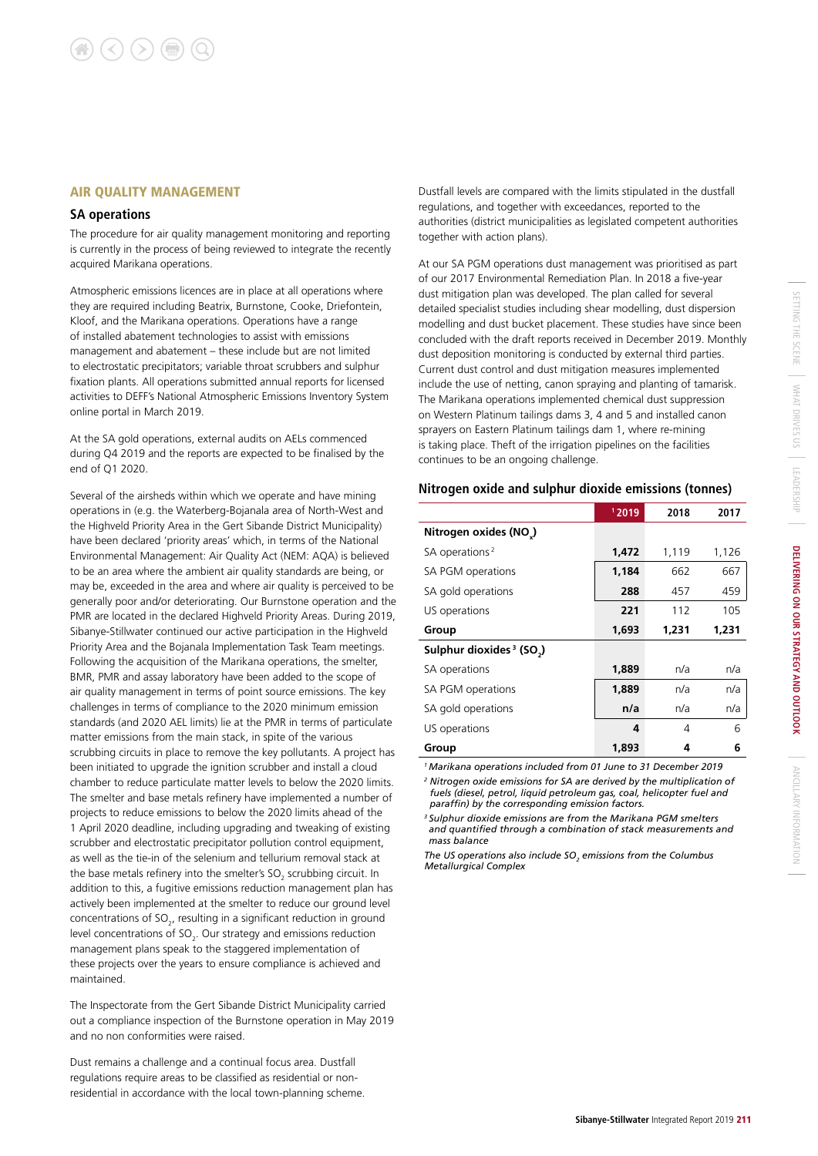#### AIR QUALITY MANAGEMENT

#### **SA operations**

The procedure for air quality management monitoring and reporting is currently in the process of being reviewed to integrate the recently acquired Marikana operations.

Atmospheric emissions licences are in place at all operations where they are required including Beatrix, Burnstone, Cooke, Driefontein, Kloof, and the Marikana operations. Operations have a range of installed abatement technologies to assist with emissions management and abatement – these include but are not limited to electrostatic precipitators; variable throat scrubbers and sulphur fixation plants. All operations submitted annual reports for licensed activities to DEFF's National Atmospheric Emissions Inventory System online portal in March 2019.

At the SA gold operations, external audits on AELs commenced during Q4 2019 and the reports are expected to be finalised by the end of Q1 2020.

Several of the airsheds within which we operate and have mining operations in (e.g. the Waterberg-Bojanala area of North-West and the Highveld Priority Area in the Gert Sibande District Municipality) have been declared 'priority areas' which, in terms of the National Environmental Management: Air Quality Act (NEM: AQA) is believed to be an area where the ambient air quality standards are being, or may be, exceeded in the area and where air quality is perceived to be generally poor and/or deteriorating. Our Burnstone operation and the PMR are located in the declared Highveld Priority Areas. During 2019, Sibanye-Stillwater continued our active participation in the Highveld Priority Area and the Bojanala Implementation Task Team meetings. Following the acquisition of the Marikana operations, the smelter, BMR, PMR and assay laboratory have been added to the scope of air quality management in terms of point source emissions. The key challenges in terms of compliance to the 2020 minimum emission standards (and 2020 AEL limits) lie at the PMR in terms of particulate matter emissions from the main stack, in spite of the various scrubbing circuits in place to remove the key pollutants. A project has been initiated to upgrade the ignition scrubber and install a cloud chamber to reduce particulate matter levels to below the 2020 limits. The smelter and base metals refinery have implemented a number of projects to reduce emissions to below the 2020 limits ahead of the 1 April 2020 deadline, including upgrading and tweaking of existing scrubber and electrostatic precipitator pollution control equipment, as well as the tie-in of the selenium and tellurium removal stack at the base metals refinery into the smelter's  $\text{SO}_2$  scrubbing circuit. In addition to this, a fugitive emissions reduction management plan has actively been implemented at the smelter to reduce our ground level concentrations of  $SO_{2}$ , resulting in a significant reduction in ground level concentrations of SO<sub>2</sub>. Our strategy and emissions reduction management plans speak to the staggered implementation of these projects over the years to ensure compliance is achieved and maintained.

The Inspectorate from the Gert Sibande District Municipality carried out a compliance inspection of the Burnstone operation in May 2019 and no non conformities were raised.

Dust remains a challenge and a continual focus area. Dustfall regulations require areas to be classified as residential or nonresidential in accordance with the local town-planning scheme. Dustfall levels are compared with the limits stipulated in the dustfall regulations, and together with exceedances, reported to the authorities (district municipalities as legislated competent authorities together with action plans).

At our SA PGM operations dust management was prioritised as part of our 2017 Environmental Remediation Plan. In 2018 a five-year dust mitigation plan was developed. The plan called for several detailed specialist studies including shear modelling, dust dispersion modelling and dust bucket placement. These studies have since been concluded with the draft reports received in December 2019. Monthly dust deposition monitoring is conducted by external third parties. Current dust control and dust mitigation measures implemented include the use of netting, canon spraying and planting of tamarisk. The Marikana operations implemented chemical dust suppression on Western Platinum tailings dams 3, 4 and 5 and installed canon sprayers on Eastern Platinum tailings dam 1, where re-mining is taking place. Theft of the irrigation pipelines on the facilities continues to be an ongoing challenge.

#### **Nitrogen oxide and sulphur dioxide emissions (tonnes)**

|                                                  | 12019 | 2018  | 2017  |
|--------------------------------------------------|-------|-------|-------|
| Nitrogen oxides (NO)                             |       |       |       |
| SA operations <sup>2</sup>                       | 1,472 | 1,119 | 1,126 |
| SA PGM operations                                | 1,184 | 662   | 667   |
| SA gold operations                               | 288   | 457   | 459   |
| US operations                                    | 221   | 112   | 105   |
| Group                                            | 1,693 | 1,231 | 1,231 |
| Sulphur dioxides <sup>3</sup> (SO <sub>2</sub> ) |       |       |       |
| SA operations                                    | 1,889 | n/a   | n/a   |
| SA PGM operations                                | 1,889 | n/a   | n/a   |
| SA gold operations                               | n/a   | n/a   | n/a   |
| US operations                                    | 4     | 4     | 6     |
| Group                                            | 1.893 | 4     | 6     |

*1 Marikana operations included from 01 June to 31 December 2019*

*<sup>2</sup> Nitrogen oxide emissions for SA are derived by the multiplication of fuels (diesel, petrol, liquid petroleum gas, coal, helicopter fuel and paraffin) by the corresponding emission factors.* 

*3 Sulphur dioxide emissions are from the Marikana PGM smelters and quantified through a combination of stack measurements and mass balance*

The US operations also include SO<sub>2</sub> emissions from the Columbus *Metallurgical Complex*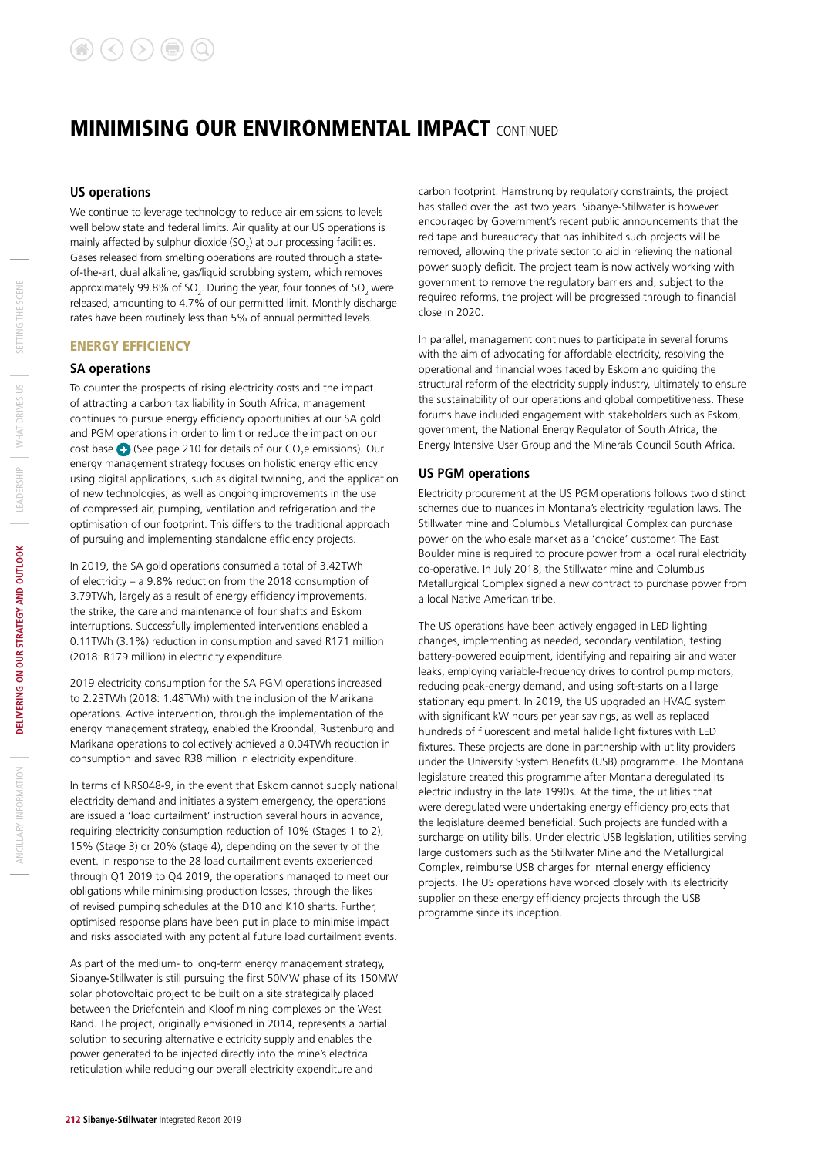#### **US operations**

We continue to leverage technology to reduce air emissions to levels well below state and federal limits. Air quality at our US operations is mainly affected by sulphur dioxide  $(SO_2)$  at our processing facilities. Gases released from smelting operations are routed through a stateof-the-art, dual alkaline, gas/liquid scrubbing system, which removes approximately 99.8% of SO<sub>2</sub>. During the year, four tonnes of SO<sub>2</sub> were released, amounting to 4.7% of our permitted limit. Monthly discharge rates have been routinely less than 5% of annual permitted levels.

#### ENERGY EFFICIENCY

#### **SA operations**

To counter the prospects of rising electricity costs and the impact of attracting a carbon tax liability in South Africa, management continues to pursue energy efficiency opportunities at our SA gold and PGM operations in order to limit or reduce the impact on our cost base  $\bigodot$  (See page 210 for details of our CO<sub>2</sub>e emissions). Our energy management strategy focuses on holistic energy efficiency using digital applications, such as digital twinning, and the application of new technologies; as well as ongoing improvements in the use of compressed air, pumping, ventilation and refrigeration and the optimisation of our footprint. This differs to the traditional approach of pursuing and implementing standalone efficiency projects.

In 2019, the SA gold operations consumed a total of 3.42TWh of electricity – a 9.8% reduction from the 2018 consumption of 3.79TWh, largely as a result of energy efficiency improvements, the strike, the care and maintenance of four shafts and Eskom interruptions. Successfully implemented interventions enabled a 0.11TWh (3.1%) reduction in consumption and saved R171 million (2018: R179 million) in electricity expenditure.

2019 electricity consumption for the SA PGM operations increased to 2.23TWh (2018: 1.48TWh) with the inclusion of the Marikana operations. Active intervention, through the implementation of the energy management strategy, enabled the Kroondal, Rustenburg and Marikana operations to collectively achieved a 0.04TWh reduction in consumption and saved R38 million in electricity expenditure.

In terms of NRS048-9, in the event that Eskom cannot supply national electricity demand and initiates a system emergency, the operations are issued a 'load curtailment' instruction several hours in advance, requiring electricity consumption reduction of 10% (Stages 1 to 2), 15% (Stage 3) or 20% (stage 4), depending on the severity of the event. In response to the 28 load curtailment events experienced through Q1 2019 to Q4 2019, the operations managed to meet our obligations while minimising production losses, through the likes of revised pumping schedules at the D10 and K10 shafts. Further, optimised response plans have been put in place to minimise impact and risks associated with any potential future load curtailment events.

As part of the medium- to long-term energy management strategy, Sibanye-Stillwater is still pursuing the first 50MW phase of its 150MW solar photovoltaic project to be built on a site strategically placed between the Driefontein and Kloof mining complexes on the West Rand. The project, originally envisioned in 2014, represents a partial solution to securing alternative electricity supply and enables the power generated to be injected directly into the mine's electrical reticulation while reducing our overall electricity expenditure and

carbon footprint. Hamstrung by regulatory constraints, the project has stalled over the last two years. Sibanye-Stillwater is however encouraged by Government's recent public announcements that the red tape and bureaucracy that has inhibited such projects will be removed, allowing the private sector to aid in relieving the national power supply deficit. The project team is now actively working with government to remove the regulatory barriers and, subject to the required reforms, the project will be progressed through to financial close in 2020.

In parallel, management continues to participate in several forums with the aim of advocating for affordable electricity, resolving the operational and financial woes faced by Eskom and guiding the structural reform of the electricity supply industry, ultimately to ensure the sustainability of our operations and global competitiveness. These forums have included engagement with stakeholders such as Eskom, government, the National Energy Regulator of South Africa, the Energy Intensive User Group and the Minerals Council South Africa.

#### **US PGM operations**

Electricity procurement at the US PGM operations follows two distinct schemes due to nuances in Montana's electricity regulation laws. The Stillwater mine and Columbus Metallurgical Complex can purchase power on the wholesale market as a 'choice' customer. The East Boulder mine is required to procure power from a local rural electricity co-operative. In July 2018, the Stillwater mine and Columbus Metallurgical Complex signed a new contract to purchase power from a local Native American tribe.

The US operations have been actively engaged in LED lighting changes, implementing as needed, secondary ventilation, testing battery-powered equipment, identifying and repairing air and water leaks, employing variable-frequency drives to control pump motors, reducing peak-energy demand, and using soft-starts on all large stationary equipment. In 2019, the US upgraded an HVAC system with significant kW hours per year savings, as well as replaced hundreds of fluorescent and metal halide light fixtures with LED fixtures. These projects are done in partnership with utility providers under the University System Benefits (USB) programme. The Montana legislature created this programme after Montana deregulated its electric industry in the late 1990s. At the time, the utilities that were deregulated were undertaking energy efficiency projects that the legislature deemed beneficial. Such projects are funded with a surcharge on utility bills. Under electric USB legislation, utilities serving large customers such as the Stillwater Mine and the Metallurgical Complex, reimburse USB charges for internal energy efficiency projects. The US operations have worked closely with its electricity supplier on these energy efficiency projects through the USB programme since its inception.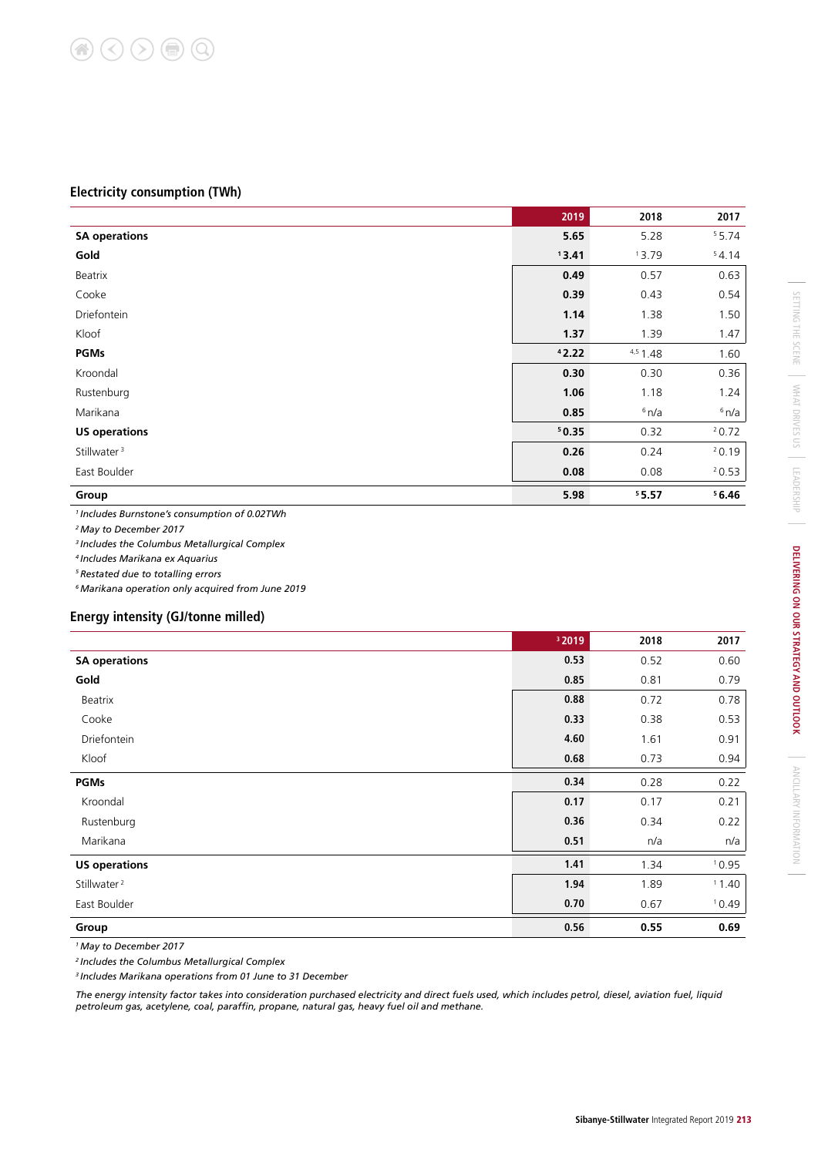#### **Electricity consumption (TWh)**

|                         | 2019  | 2018       | 2017  |
|-------------------------|-------|------------|-------|
| <b>SA operations</b>    | 5.65  | 5.28       | 55.74 |
| Gold                    | 13.41 | 13.79      | 54.14 |
| Beatrix                 | 0.49  | 0.57       | 0.63  |
| Cooke                   | 0.39  | 0.43       | 0.54  |
| Driefontein             | 1.14  | 1.38       | 1.50  |
| Kloof                   | 1.37  | 1.39       | 1.47  |
| <b>PGMs</b>             | 42.22 | $4,5$ 1.48 | 1.60  |
| Kroondal                | 0.30  | 0.30       | 0.36  |
| Rustenburg              | 1.06  | 1.18       | 1.24  |
| Marikana                | 0.85  | 6n/a       | 6n/a  |
| <b>US operations</b>    | 50.35 | 0.32       | 20.72 |
| Stillwater <sup>3</sup> | 0.26  | 0.24       | 20.19 |
| East Boulder            | 0.08  | 0.08       | 20.53 |
| Group                   | 5.98  | 55.57      | 56.46 |

*1 Includes Burnstone's consumption of 0.02TWh*

*2 May to December 2017*

*3 Includes the Columbus Metallurgical Complex*

*4 Includes Marikana ex Aquarius*

*5 Restated due to totalling errors*

*6 Marikana operation only acquired from June 2019*

#### **Energy intensity (GJ/tonne milled)**

|                         | <sup>3</sup> 2019 | 2018 | 2017  |
|-------------------------|-------------------|------|-------|
| <b>SA operations</b>    | 0.53              | 0.52 | 0.60  |
| Gold                    | 0.85              | 0.81 | 0.79  |
| Beatrix                 | 0.88              | 0.72 | 0.78  |
| Cooke                   | 0.33              | 0.38 | 0.53  |
| Driefontein             | 4.60              | 1.61 | 0.91  |
| Kloof                   | 0.68              | 0.73 | 0.94  |
| <b>PGMs</b>             | 0.34              | 0.28 | 0.22  |
| Kroondal                | 0.17              | 0.17 | 0.21  |
| Rustenburg              | 0.36              | 0.34 | 0.22  |
| Marikana                | 0.51              | n/a  | n/a   |
| <b>US operations</b>    | 1.41              | 1.34 | 10.95 |
| Stillwater <sup>2</sup> | 1.94              | 1.89 | 11.40 |
| East Boulder            | 0.70              | 0.67 | 10.49 |
| Group                   | 0.56              | 0.55 | 0.69  |

*1 May to December 2017*

*2 Includes the Columbus Metallurgical Complex*

*3 Includes Marikana operations from 01 June to 31 December*

*The energy intensity factor takes into consideration purchased electricity and direct fuels used, which includes petrol, diesel, aviation fuel, liquid petroleum gas, acetylene, coal, paraffin, propane, natural gas, heavy fuel oil and methane.*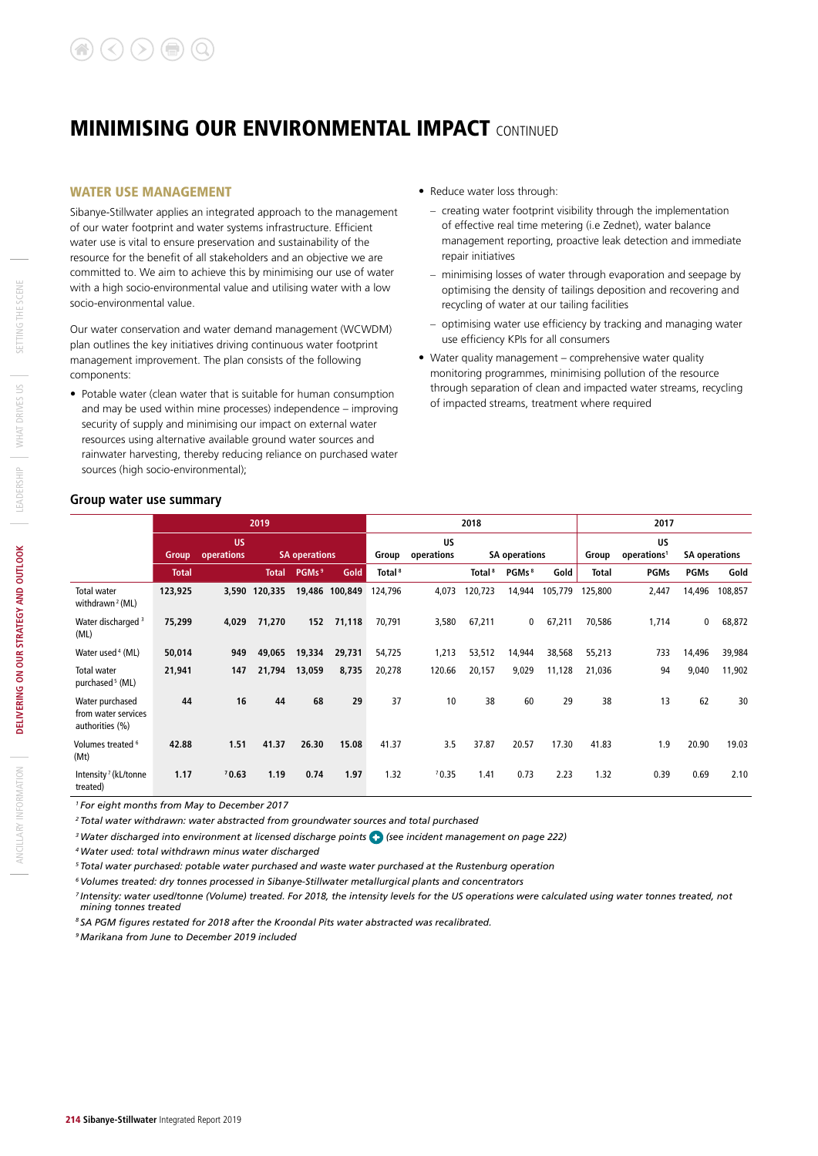#### WATER USE MANAGEMENT

Sibanye-Stillwater applies an integrated approach to the management of our water footprint and water systems infrastructure. Efficient water use is vital to ensure preservation and sustainability of the resource for the benefit of all stakeholders and an objective we are committed to. We aim to achieve this by minimising our use of water with a high socio-environmental value and utilising water with a low socio-environmental value.

Our water conservation and water demand management (WCWDM) plan outlines the key initiatives driving continuous water footprint management improvement. The plan consists of the following components:

• Potable water (clean water that is suitable for human consumption and may be used within mine processes) independence – improving security of supply and minimising our impact on external water resources using alternative available ground water sources and rainwater harvesting, thereby reducing reliance on purchased water sources (high socio-environmental);

- Reduce water loss through:
	- creating water footprint visibility through the implementation of effective real time metering (i.e Zednet), water balance management reporting, proactive leak detection and immediate repair initiatives
	- minimising losses of water through evaporation and seepage by optimising the density of tailings deposition and recovering and recycling of water at our tailing facilities
	- optimising water use efficiency by tracking and managing water use efficiency KPIs for all consumers
- Water quality management comprehensive water quality monitoring programmes, minimising pollution of the resource through separation of clean and impacted water streams, recycling of impacted streams, treatment where required

#### **Group water use summary**

|                                                           |              |                         | 2019                 |                   |                |                         |                      | 2018               |                   |         |                               | 2017        |                      |         |
|-----------------------------------------------------------|--------------|-------------------------|----------------------|-------------------|----------------|-------------------------|----------------------|--------------------|-------------------|---------|-------------------------------|-------------|----------------------|---------|
|                                                           | <b>Group</b> | <b>US</b><br>operations | <b>SA operations</b> |                   | Group          | <b>US</b><br>operations | <b>SA operations</b> |                    |                   | Group   | US<br>operations <sup>1</sup> |             | <b>SA operations</b> |         |
|                                                           | <b>Total</b> |                         | <b>Total</b>         | PGMs <sup>9</sup> | Gold           | Total <sup>8</sup>      |                      | Total <sup>8</sup> | PGMs <sup>8</sup> | Gold    | <b>Total</b>                  | <b>PGMs</b> | <b>PGMs</b>          | Gold    |
| Total water<br>withdrawn <sup>2</sup> (ML)                | 123,925      |                         | 3,590 120,335        |                   | 19,486 100,849 | 124,796                 | 4,073                | 120,723            | 14,944            | 105,779 | 125,800                       | 2,447       | 14,496               | 108,857 |
| Water discharged <sup>3</sup><br>(ML)                     | 75,299       | 4,029                   | 71,270               | 152               | 71,118         | 70,791                  | 3,580                | 67,211             | 0                 | 67,211  | 70,586                        | 1,714       | 0                    | 68,872  |
| Water used 4 (ML)                                         | 50,014       | 949                     | 49,065               | 19,334            | 29,731         | 54,725                  | 1,213                | 53,512             | 14,944            | 38,568  | 55,213                        | 733         | 14,496               | 39,984  |
| Total water<br>purchased <sup>5</sup> (ML)                | 21,941       | 147                     | 21,794               | 13,059            | 8,735          | 20,278                  | 120.66               | 20,157             | 9,029             | 11,128  | 21,036                        | 94          | 9,040                | 11,902  |
| Water purchased<br>from water services<br>authorities (%) | 44           | 16                      | 44                   | 68                | 29             | 37                      | 10                   | 38                 | 60                | 29      | 38                            | 13          | 62                   | 30      |
| Volumes treated <sup>6</sup><br>(Mt)                      | 42.88        | 1.51                    | 41.37                | 26.30             | 15.08          | 41.37                   | 3.5                  | 37.87              | 20.57             | 17.30   | 41.83                         | 1.9         | 20.90                | 19.03   |
| Intensity <sup>7</sup> (kL/tonne<br>treated)              | 1.17         | 70.63                   | 1.19                 | 0.74              | 1.97           | 1.32                    | 70.35                | 1.41               | 0.73              | 2.23    | 1.32                          | 0.39        | 0.69                 | 2.10    |

*1 For eight months from May to December 2017* 

*2 Total water withdrawn: water abstracted from groundwater sources and total purchased*

<sup>3</sup> Water discharged into environment at licensed discharge points (see incident management on page 222)

*4 Water used: total withdrawn minus water discharged*

*5 Total water purchased: potable water purchased and waste water purchased at the Rustenburg operation*

*6 Volumes treated: dry tonnes processed in Sibanye-Stillwater metallurgical plants and concentrators*

<sup>7</sup> Intensity: water used/tonne (Volume) treated. For 2018, the intensity levels for the US operations were calculated using water tonnes treated, not *mining tonnes treated*

*8 SA PGM figures restated for 2018 after the Kroondal Pits water abstracted was recalibrated.*

*9 Marikana from June to December 2019 included*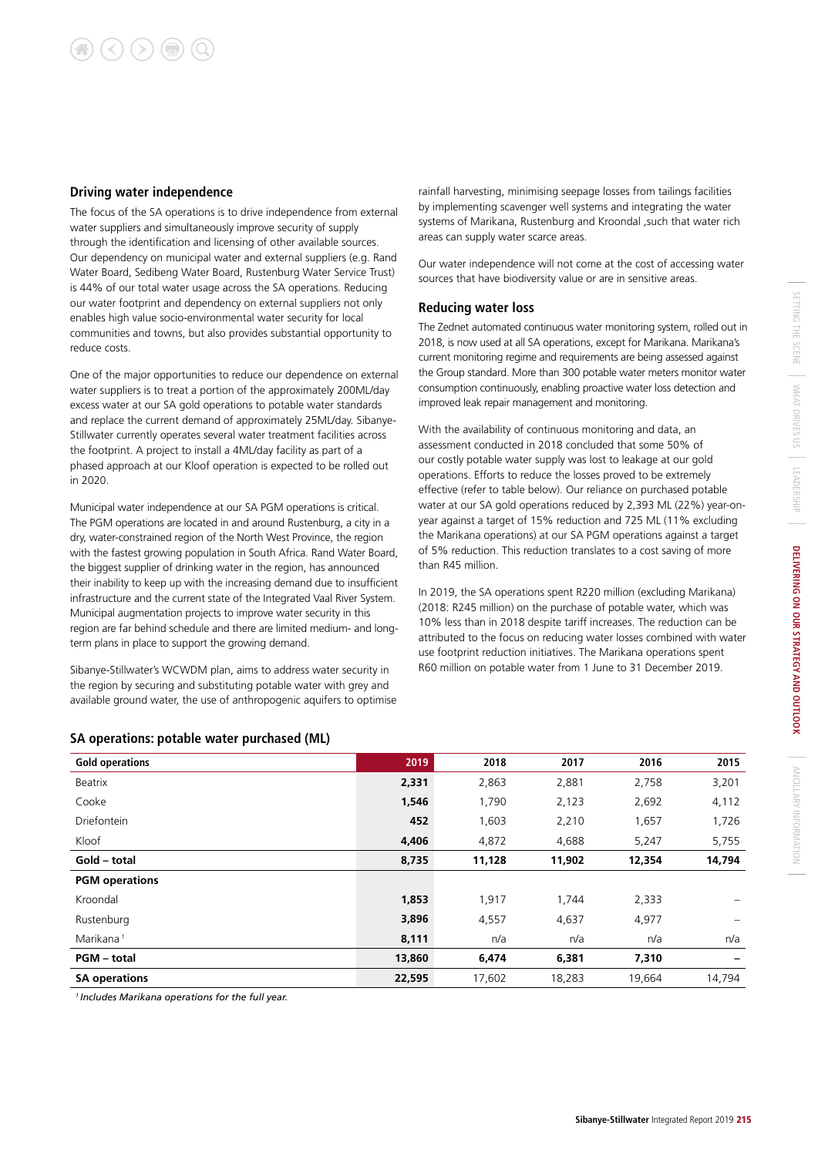#### **Driving water independence**

The focus of the SA operations is to drive independence from external water suppliers and simultaneously improve security of supply through the identification and licensing of other available sources. Our dependency on municipal water and external suppliers (e.g. Rand Water Board, Sedibeng Water Board, Rustenburg Water Service Trust) is 44% of our total water usage across the SA operations. Reducing our water footprint and dependency on external suppliers not only enables high value socio-environmental water security for local communities and towns, but also provides substantial opportunity to reduce costs.

One of the major opportunities to reduce our dependence on external water suppliers is to treat a portion of the approximately 200ML/day excess water at our SA gold operations to potable water standards and replace the current demand of approximately 25ML/day. Sibanye-Stillwater currently operates several water treatment facilities across the footprint. A project to install a 4ML/day facility as part of a phased approach at our Kloof operation is expected to be rolled out in 2020.

Municipal water independence at our SA PGM operations is critical. The PGM operations are located in and around Rustenburg, a city in a dry, water-constrained region of the North West Province, the region with the fastest growing population in South Africa. Rand Water Board, the biggest supplier of drinking water in the region, has announced their inability to keep up with the increasing demand due to insufficient infrastructure and the current state of the Integrated Vaal River System. Municipal augmentation projects to improve water security in this region are far behind schedule and there are limited medium- and longterm plans in place to support the growing demand.

Sibanye-Stillwater's WCWDM plan, aims to address water security in the region by securing and substituting potable water with grey and available ground water, the use of anthropogenic aquifers to optimise rainfall harvesting, minimising seepage losses from tailings facilities by implementing scavenger well systems and integrating the water systems of Marikana, Rustenburg and Kroondal ,such that water rich areas can supply water scarce areas.

Our water independence will not come at the cost of accessing water sources that have biodiversity value or are in sensitive areas.

#### **Reducing water loss**

The Zednet automated continuous water monitoring system, rolled out in 2018, is now used at all SA operations, except for Marikana. Marikana's current monitoring regime and requirements are being assessed against the Group standard. More than 300 potable water meters monitor water consumption continuously, enabling proactive water loss detection and improved leak repair management and monitoring.

With the availability of continuous monitoring and data, an assessment conducted in 2018 concluded that some 50% of our costly potable water supply was lost to leakage at our gold operations. Efforts to reduce the losses proved to be extremely effective (refer to table below). Our reliance on purchased potable water at our SA gold operations reduced by 2,393 ML (22%) year-onyear against a target of 15% reduction and 725 ML (11% excluding the Marikana operations) at our SA PGM operations against a target of 5% reduction. This reduction translates to a cost saving of more than R45 million.

In 2019, the SA operations spent R220 million (excluding Marikana) (2018: R245 million) on the purchase of potable water, which was 10% less than in 2018 despite tariff increases. The reduction can be attributed to the focus on reducing water losses combined with water use footprint reduction initiatives. The Marikana operations spent R60 million on potable water from 1 June to 31 December 2019.

#### **SA operations: potable water purchased (ML)**

| <b>Gold operations</b> | 2019   | 2018   | 2017   | 2016   | 2015                     |
|------------------------|--------|--------|--------|--------|--------------------------|
| Beatrix                | 2,331  | 2,863  | 2,881  | 2,758  | 3,201                    |
| Cooke                  | 1,546  | 1,790  | 2,123  | 2,692  | 4,112                    |
| Driefontein            | 452    | 1,603  | 2,210  | 1,657  | 1,726                    |
| Kloof                  | 4,406  | 4,872  | 4,688  | 5,247  | 5,755                    |
| Gold - total           | 8,735  | 11,128 | 11,902 | 12,354 | 14,794                   |
| <b>PGM</b> operations  |        |        |        |        |                          |
| Kroondal               | 1,853  | 1,917  | 1,744  | 2,333  |                          |
| Rustenburg             | 3,896  | 4,557  | 4,637  | 4,977  | $\overline{\phantom{0}}$ |
| Marikana <sup>1</sup>  | 8,111  | n/a    | n/a    | n/a    | n/a                      |
| <b>PGM</b> - total     | 13,860 | 6,474  | 6,381  | 7,310  | -                        |
| <b>SA operations</b>   | 22,595 | 17,602 | 18,283 | 19,664 | 14,794                   |

*1 Includes Marikana operations for the full year.*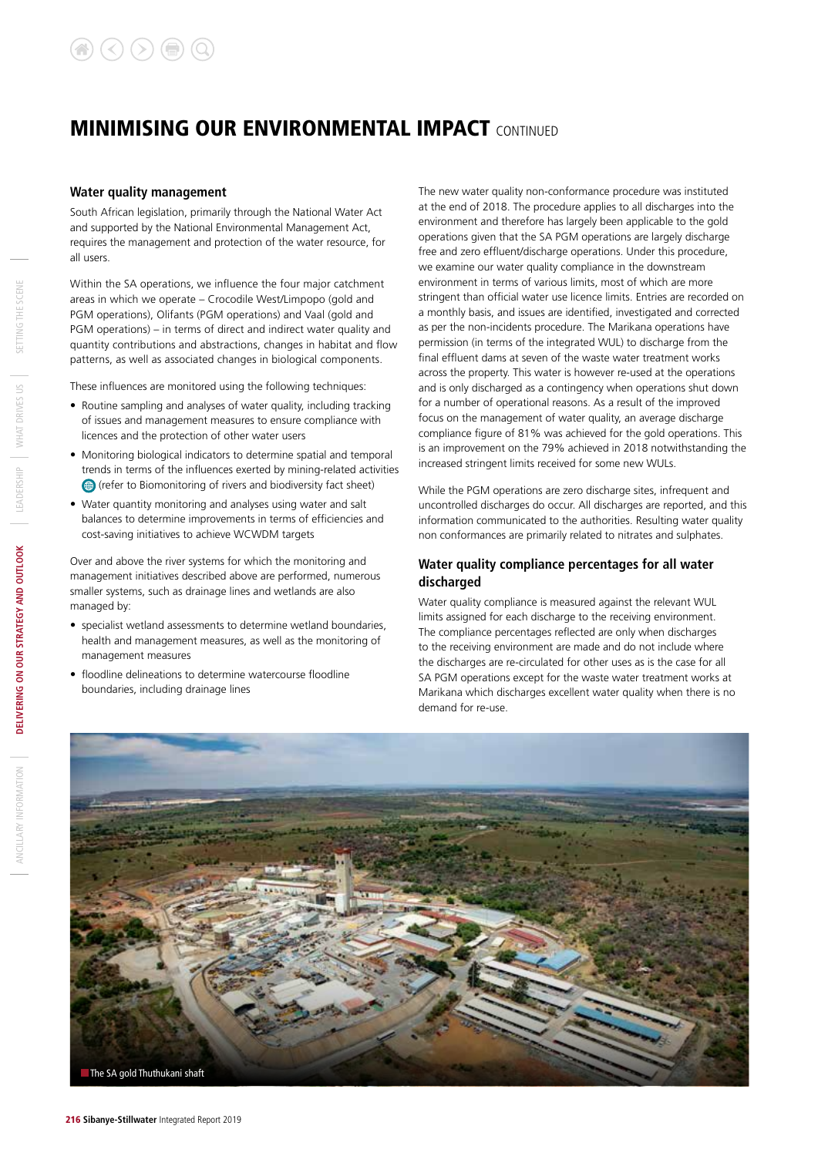#### **Water quality management**

South African legislation, primarily through the National Water Act and supported by the National Environmental Management Act, requires the management and protection of the water resource, for all users.

Within the SA operations, we influence the four major catchment areas in which we operate – Crocodile West/Limpopo (gold and PGM operations), Olifants (PGM operations) and Vaal (gold and PGM operations) – in terms of direct and indirect water quality and quantity contributions and abstractions, changes in habitat and flow patterns, as well as associated changes in biological components.

These influences are monitored using the following techniques:

- Routine sampling and analyses of water quality, including tracking of issues and management measures to ensure compliance with licences and the protection of other water users
- Monitoring biological indicators to determine spatial and temporal trends in terms of the influences exerted by mining-related activities (refer to Biomonitoring of rivers and biodiversity fact sheet)
- Water quantity monitoring and analyses using water and salt balances to determine improvements in terms of efficiencies and cost-saving initiatives to achieve WCWDM targets

Over and above the river systems for which the monitoring and management initiatives described above are performed, numerous smaller systems, such as drainage lines and wetlands are also managed by:

- specialist wetland assessments to determine wetland boundaries, health and management measures, as well as the monitoring of management measures
- floodline delineations to determine watercourse floodline boundaries, including drainage lines

The new water quality non-conformance procedure was instituted at the end of 2018. The procedure applies to all discharges into the environment and therefore has largely been applicable to the gold operations given that the SA PGM operations are largely discharge free and zero effluent/discharge operations. Under this procedure, we examine our water quality compliance in the downstream environment in terms of various limits, most of which are more stringent than official water use licence limits. Entries are recorded on a monthly basis, and issues are identified, investigated and corrected as per the non-incidents procedure. The Marikana operations have permission (in terms of the integrated WUL) to discharge from the final effluent dams at seven of the waste water treatment works across the property. This water is however re-used at the operations and is only discharged as a contingency when operations shut down for a number of operational reasons. As a result of the improved focus on the management of water quality, an average discharge compliance figure of 81% was achieved for the gold operations. This is an improvement on the 79% achieved in 2018 notwithstanding the increased stringent limits received for some new WULs.

While the PGM operations are zero discharge sites, infrequent and uncontrolled discharges do occur. All discharges are reported, and this information communicated to the authorities. Resulting water quality non conformances are primarily related to nitrates and sulphates.

#### **Water quality compliance percentages for all water discharged**

Water quality compliance is measured against the relevant WUL limits assigned for each discharge to the receiving environment. The compliance percentages reflected are only when discharges to the receiving environment are made and do not include where the discharges are re-circulated for other uses as is the case for all SA PGM operations except for the waste water treatment works at Marikana which discharges excellent water quality when there is no demand for re-use.

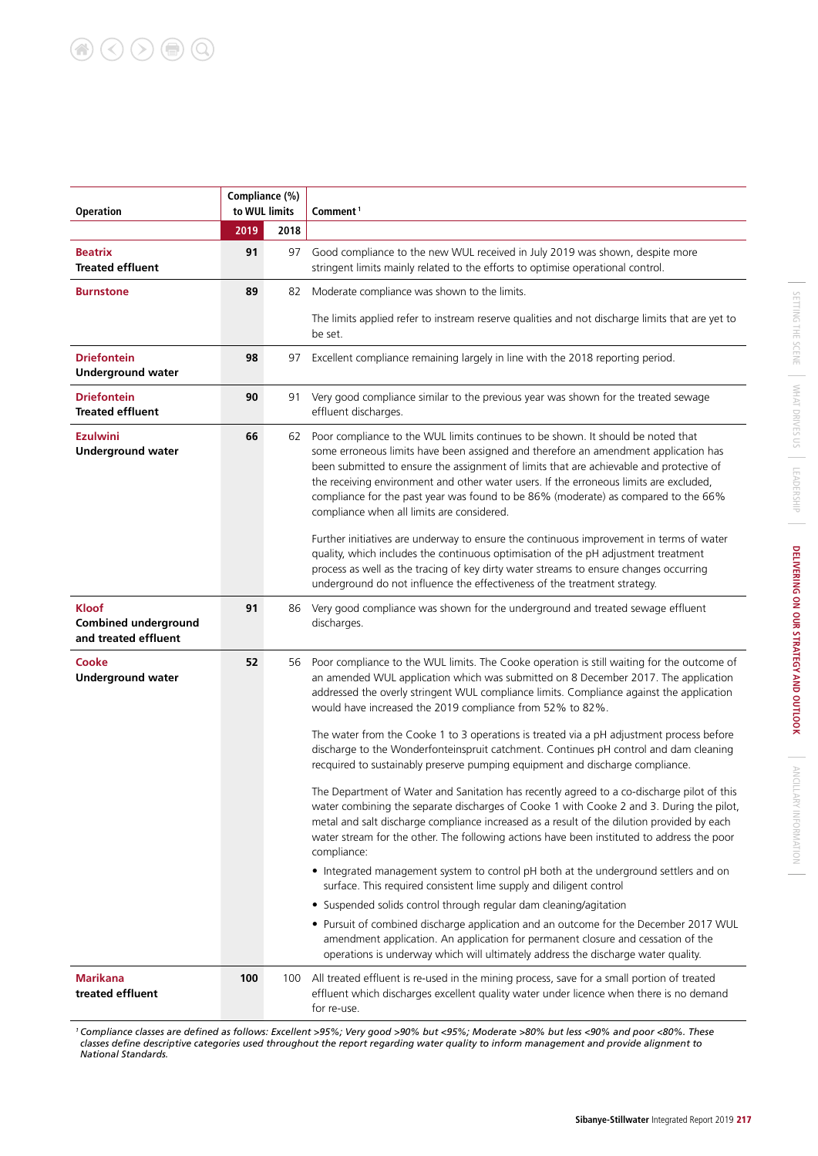| Compliance (%)<br>to WUL limits<br><b>Operation</b>                 |      |      | Comment <sup>1</sup>                                                                                                                                                                                                                                                                                                                                                                                                                                                                                                                                                                                                                                                                                                                                                                                                                                                                                                                                                                                                                                                                                                                                                                                                                                                                                                                                                                                                                                                                                                     |  |  |  |  |  |
|---------------------------------------------------------------------|------|------|--------------------------------------------------------------------------------------------------------------------------------------------------------------------------------------------------------------------------------------------------------------------------------------------------------------------------------------------------------------------------------------------------------------------------------------------------------------------------------------------------------------------------------------------------------------------------------------------------------------------------------------------------------------------------------------------------------------------------------------------------------------------------------------------------------------------------------------------------------------------------------------------------------------------------------------------------------------------------------------------------------------------------------------------------------------------------------------------------------------------------------------------------------------------------------------------------------------------------------------------------------------------------------------------------------------------------------------------------------------------------------------------------------------------------------------------------------------------------------------------------------------------------|--|--|--|--|--|
|                                                                     | 2019 | 2018 |                                                                                                                                                                                                                                                                                                                                                                                                                                                                                                                                                                                                                                                                                                                                                                                                                                                                                                                                                                                                                                                                                                                                                                                                                                                                                                                                                                                                                                                                                                                          |  |  |  |  |  |
| <b>Beatrix</b><br><b>Treated effluent</b>                           | 91   | 97   | Good compliance to the new WUL received in July 2019 was shown, despite more<br>stringent limits mainly related to the efforts to optimise operational control.                                                                                                                                                                                                                                                                                                                                                                                                                                                                                                                                                                                                                                                                                                                                                                                                                                                                                                                                                                                                                                                                                                                                                                                                                                                                                                                                                          |  |  |  |  |  |
| <b>Burnstone</b>                                                    | 89   | 82   | Moderate compliance was shown to the limits.                                                                                                                                                                                                                                                                                                                                                                                                                                                                                                                                                                                                                                                                                                                                                                                                                                                                                                                                                                                                                                                                                                                                                                                                                                                                                                                                                                                                                                                                             |  |  |  |  |  |
|                                                                     |      |      | The limits applied refer to instream reserve qualities and not discharge limits that are yet to<br>be set.                                                                                                                                                                                                                                                                                                                                                                                                                                                                                                                                                                                                                                                                                                                                                                                                                                                                                                                                                                                                                                                                                                                                                                                                                                                                                                                                                                                                               |  |  |  |  |  |
| <b>Driefontein</b><br><b>Underground water</b>                      | 98   | 97   | Excellent compliance remaining largely in line with the 2018 reporting period.                                                                                                                                                                                                                                                                                                                                                                                                                                                                                                                                                                                                                                                                                                                                                                                                                                                                                                                                                                                                                                                                                                                                                                                                                                                                                                                                                                                                                                           |  |  |  |  |  |
| <b>Driefontein</b><br><b>Treated effluent</b>                       | 90   | 91   | Very good compliance similar to the previous year was shown for the treated sewage<br>effluent discharges.                                                                                                                                                                                                                                                                                                                                                                                                                                                                                                                                                                                                                                                                                                                                                                                                                                                                                                                                                                                                                                                                                                                                                                                                                                                                                                                                                                                                               |  |  |  |  |  |
| <b>Ezulwini</b><br><b>Underground water</b>                         | 66   | 62   | Poor compliance to the WUL limits continues to be shown. It should be noted that<br>some erroneous limits have been assigned and therefore an amendment application has<br>been submitted to ensure the assignment of limits that are achievable and protective of<br>the receiving environment and other water users. If the erroneous limits are excluded,<br>compliance for the past year was found to be 86% (moderate) as compared to the 66%<br>compliance when all limits are considered.<br>Further initiatives are underway to ensure the continuous improvement in terms of water<br>quality, which includes the continuous optimisation of the pH adjustment treatment<br>process as well as the tracing of key dirty water streams to ensure changes occurring<br>underground do not influence the effectiveness of the treatment strategy.                                                                                                                                                                                                                                                                                                                                                                                                                                                                                                                                                                                                                                                                  |  |  |  |  |  |
| <b>Kloof</b><br><b>Combined underground</b><br>and treated effluent | 91   | 86   | Very good compliance was shown for the underground and treated sewage effluent<br>discharges.                                                                                                                                                                                                                                                                                                                                                                                                                                                                                                                                                                                                                                                                                                                                                                                                                                                                                                                                                                                                                                                                                                                                                                                                                                                                                                                                                                                                                            |  |  |  |  |  |
| Cooke<br><b>Underground water</b>                                   | 52   | 56   | Poor compliance to the WUL limits. The Cooke operation is still waiting for the outcome of<br>an amended WUL application which was submitted on 8 December 2017. The application<br>addressed the overly stringent WUL compliance limits. Compliance against the application<br>would have increased the 2019 compliance from 52% to 82%.<br>The water from the Cooke 1 to 3 operations is treated via a pH adjustment process before<br>discharge to the Wonderfonteinspruit catchment. Continues pH control and dam cleaning<br>recquired to sustainably preserve pumping equipment and discharge compliance.<br>The Department of Water and Sanitation has recently agreed to a co-discharge pilot of this<br>water combining the separate discharges of Cooke 1 with Cooke 2 and 3. During the pilot,<br>metal and salt discharge compliance increased as a result of the dilution provided by each<br>water stream for the other. The following actions have been instituted to address the poor<br>compliance:<br>• Integrated management system to control pH both at the underground settlers and on<br>surface. This required consistent lime supply and diligent control<br>• Suspended solids control through regular dam cleaning/agitation<br>• Pursuit of combined discharge application and an outcome for the December 2017 WUL<br>amendment application. An application for permanent closure and cessation of the<br>operations is underway which will ultimately address the discharge water quality. |  |  |  |  |  |
| <b>Marikana</b><br>treated effluent                                 | 100  | 100  | All treated effluent is re-used in the mining process, save for a small portion of treated<br>effluent which discharges excellent quality water under licence when there is no demand<br>for re-use.                                                                                                                                                                                                                                                                                                                                                                                                                                                                                                                                                                                                                                                                                                                                                                                                                                                                                                                                                                                                                                                                                                                                                                                                                                                                                                                     |  |  |  |  |  |

*1 Compliance classes are defined as follows: Excellent >95%; Very good >90% but <95%; Moderate >80% but less <90% and poor <80%. These classes define descriptive categories used throughout the report regarding water quality to inform management and provide alignment to National Standards.*

 $\mathcal{L}$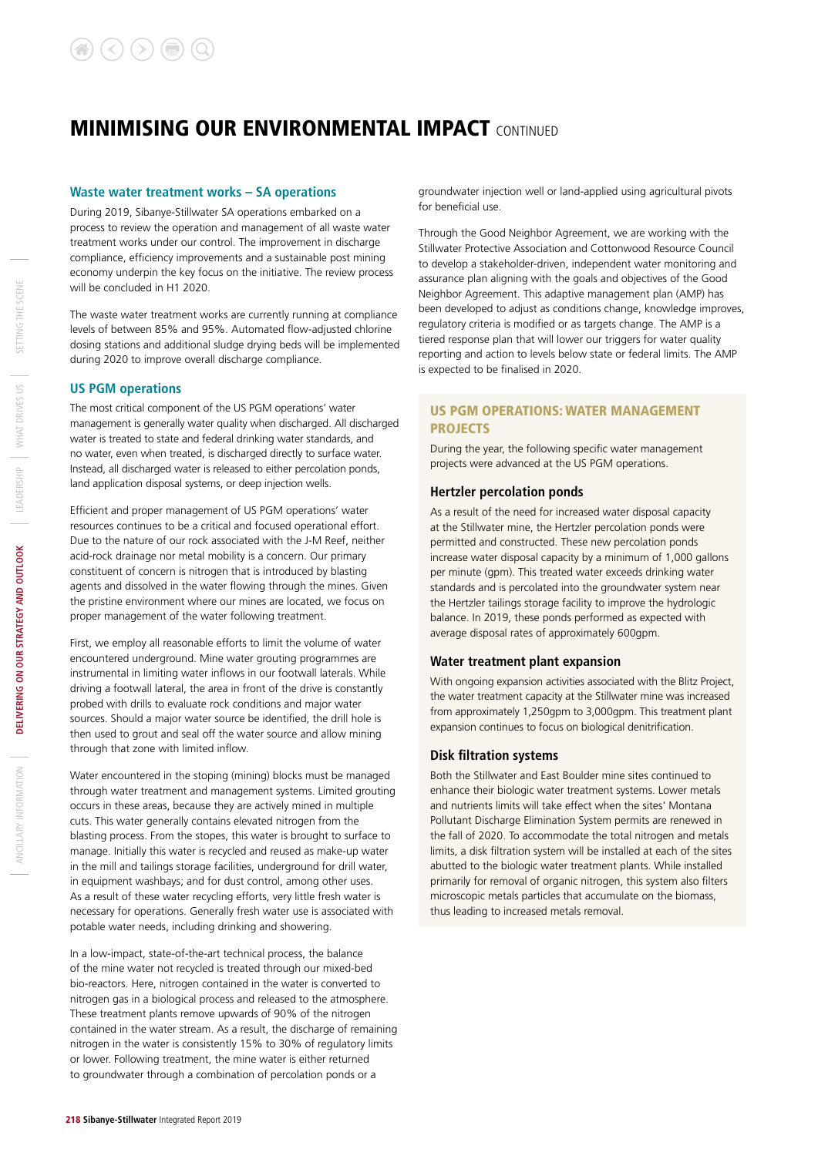#### **Waste water treatment works – SA operations**

During 2019, Sibanye-Stillwater SA operations embarked on a process to review the operation and management of all waste water treatment works under our control. The improvement in discharge compliance, efficiency improvements and a sustainable post mining economy underpin the key focus on the initiative. The review process will be concluded in H1 2020.

The waste water treatment works are currently running at compliance levels of between 85% and 95%. Automated flow-adjusted chlorine dosing stations and additional sludge drying beds will be implemented during 2020 to improve overall discharge compliance.

#### **US PGM operations**

The most critical component of the US PGM operations' water management is generally water quality when discharged. All discharged water is treated to state and federal drinking water standards, and no water, even when treated, is discharged directly to surface water. Instead, all discharged water is released to either percolation ponds, land application disposal systems, or deep injection wells.

Efficient and proper management of US PGM operations' water resources continues to be a critical and focused operational effort. Due to the nature of our rock associated with the J-M Reef, neither acid-rock drainage nor metal mobility is a concern. Our primary constituent of concern is nitrogen that is introduced by blasting agents and dissolved in the water flowing through the mines. Given the pristine environment where our mines are located, we focus on proper management of the water following treatment.

First, we employ all reasonable efforts to limit the volume of water encountered underground. Mine water grouting programmes are instrumental in limiting water inflows in our footwall laterals. While driving a footwall lateral, the area in front of the drive is constantly probed with drills to evaluate rock conditions and major water sources. Should a major water source be identified, the drill hole is then used to grout and seal off the water source and allow mining through that zone with limited inflow.

Water encountered in the stoping (mining) blocks must be managed through water treatment and management systems. Limited grouting occurs in these areas, because they are actively mined in multiple cuts. This water generally contains elevated nitrogen from the blasting process. From the stopes, this water is brought to surface to manage. Initially this water is recycled and reused as make-up water in the mill and tailings storage facilities, underground for drill water, in equipment washbays; and for dust control, among other uses. As a result of these water recycling efforts, very little fresh water is necessary for operations. Generally fresh water use is associated with potable water needs, including drinking and showering.

In a low-impact, state-of-the-art technical process, the balance of the mine water not recycled is treated through our mixed-bed bio-reactors. Here, nitrogen contained in the water is converted to nitrogen gas in a biological process and released to the atmosphere. These treatment plants remove upwards of 90% of the nitrogen contained in the water stream. As a result, the discharge of remaining nitrogen in the water is consistently 15% to 30% of regulatory limits or lower. Following treatment, the mine water is either returned to groundwater through a combination of percolation ponds or a

groundwater injection well or land-applied using agricultural pivots for beneficial use.

Through the Good Neighbor Agreement, we are working with the Stillwater Protective Association and Cottonwood Resource Council to develop a stakeholder-driven, independent water monitoring and assurance plan aligning with the goals and objectives of the Good Neighbor Agreement. This adaptive management plan (AMP) has been developed to adjust as conditions change, knowledge improves, regulatory criteria is modified or as targets change. The AMP is a tiered response plan that will lower our triggers for water quality reporting and action to levels below state or federal limits. The AMP is expected to be finalised in 2020.

#### US PGM OPERATIONS: WATER MANAGEMENT PROJECTS

During the year, the following specific water management projects were advanced at the US PGM operations.

#### **Hertzler percolation ponds**

As a result of the need for increased water disposal capacity at the Stillwater mine, the Hertzler percolation ponds were permitted and constructed. These new percolation ponds increase water disposal capacity by a minimum of 1,000 gallons per minute (gpm). This treated water exceeds drinking water standards and is percolated into the groundwater system near the Hertzler tailings storage facility to improve the hydrologic balance. In 2019, these ponds performed as expected with average disposal rates of approximately 600gpm.

#### **Water treatment plant expansion**

With ongoing expansion activities associated with the Blitz Project, the water treatment capacity at the Stillwater mine was increased from approximately 1,250gpm to 3,000gpm. This treatment plant expansion continues to focus on biological denitrification.

#### **Disk filtration systems**

Both the Stillwater and East Boulder mine sites continued to enhance their biologic water treatment systems. Lower metals and nutrients limits will take effect when the sites' Montana Pollutant Discharge Elimination System permits are renewed in the fall of 2020. To accommodate the total nitrogen and metals limits, a disk filtration system will be installed at each of the sites abutted to the biologic water treatment plants. While installed primarily for removal of organic nitrogen, this system also filters microscopic metals particles that accumulate on the biomass, thus leading to increased metals removal.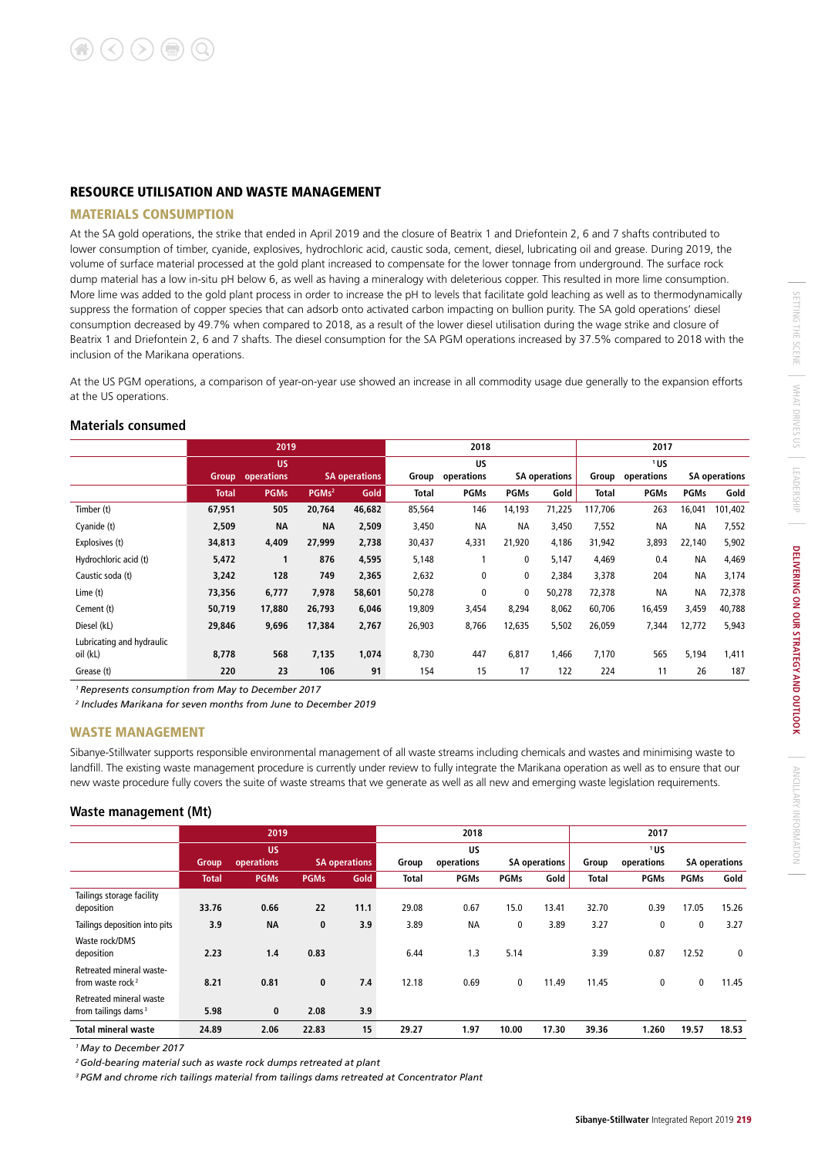#### RESOURCE UTILISATION AND WASTE MANAGEMENT

#### MATERIALS CONSUMPTION

At the SA gold operations, the strike that ended in April 2019 and the closure of Beatrix 1 and Driefontein 2, 6 and 7 shafts contributed to lower consumption of timber, cyanide, explosives, hydrochloric acid, caustic soda, cement, diesel, lubricating oil and grease. During 2019, the volume of surface material processed at the gold plant increased to compensate for the lower tonnage from underground. The surface rock dump material has a low in-situ pH below 6, as well as having a mineralogy with deleterious copper. This resulted in more lime consumption. More lime was added to the gold plant process in order to increase the pH to levels that facilitate gold leaching as well as to thermodynamically suppress the formation of copper species that can adsorb onto activated carbon impacting on bullion purity. The SA gold operations' diesel consumption decreased by 49.7% when compared to 2018, as a result of the lower diesel utilisation during the wage strike and closure of Beatrix 1 and Driefontein 2, 6 and 7 shafts. The diesel consumption for the SA PGM operations increased by 37.5% compared to 2018 with the inclusion of the Marikana operations.

At the US PGM operations, a comparison of year-on-year use showed an increase in all commodity usage due generally to the expansion efforts at the US operations.

#### **Materials consumed**

|                           |              | 2019                    |                   | 2018                 |              |             |             | 2017                 |         |             |             |                      |
|---------------------------|--------------|-------------------------|-------------------|----------------------|--------------|-------------|-------------|----------------------|---------|-------------|-------------|----------------------|
|                           |              | <b>US</b>               |                   |                      | <b>US</b>    |             |             |                      | 1US     |             |             |                      |
|                           |              | <b>Group</b> operations |                   | <b>SA operations</b> | Group        | operations  |             | <b>SA operations</b> | Group   | operations  |             | <b>SA operations</b> |
|                           | <b>Total</b> | <b>PGMs</b>             | PGMs <sup>2</sup> | Gold                 | <b>Total</b> | <b>PGMs</b> | <b>PGMs</b> | Gold                 | Total   | <b>PGMs</b> | <b>PGMs</b> | Gold                 |
| Timber (t)                | 67,951       | 505                     | 20,764            | 46,682               | 85,564       | 146         | 14,193      | 71,225               | 117,706 | 263         | 16,041      | 101,402              |
| Cyanide (t)               | 2,509        | <b>NA</b>               | <b>NA</b>         | 2,509                | 3,450        | <b>NA</b>   | <b>NA</b>   | 3,450                | 7,552   | <b>NA</b>   | <b>NA</b>   | 7,552                |
| Explosives (t)            | 34,813       | 4,409                   | 27,999            | 2,738                | 30,437       | 4,331       | 21,920      | 4,186                | 31,942  | 3,893       | 22,140      | 5,902                |
| Hydrochloric acid (t)     | 5,472        |                         | 876               | 4,595                | 5,148        |             | 0           | 5,147                | 4,469   | 0.4         | <b>NA</b>   | 4,469                |
| Caustic soda (t)          | 3,242        | 128                     | 749               | 2,365                | 2,632        | 0           | 0           | 2,384                | 3,378   | 204         | <b>NA</b>   | 3,174                |
| Lime (t)                  | 73,356       | 6,777                   | 7,978             | 58,601               | 50,278       | 0           | 0           | 50,278               | 72,378  | <b>NA</b>   | <b>NA</b>   | 72,378               |
| Cement (t)                | 50,719       | 17,880                  | 26,793            | 6,046                | 19,809       | 3,454       | 8,294       | 8,062                | 60,706  | 16,459      | 3,459       | 40,788               |
| Diesel (kL)               | 29,846       | 9,696                   | 17,384            | 2,767                | 26,903       | 8,766       | 12,635      | 5,502                | 26,059  | 7,344       | 12,772      | 5,943                |
| Lubricating and hydraulic |              |                         |                   |                      |              |             |             |                      |         |             |             |                      |
| oil (kL)                  | 8,778        | 568                     | 7,135             | 1,074                | 8,730        | 447         | 6,817       | 1,466                | 7,170   | 565         | 5,194       | 1,411                |
| Grease (t)                | 220          | 23                      | 106               | 91                   | 154          | 15          | 17          | 122                  | 224     | 11          | 26          | 187                  |

*1 Represents consumption from May to December 2017*

*2 Includes Marikana for seven months from June to December 2019*

#### WASTE MANAGEMENT

Sibanye-Stillwater supports responsible environmental management of all waste streams including chemicals and wastes and minimising waste to landfill. The existing waste management procedure is currently under review to fully integrate the Marikana operation as well as to ensure that our new waste procedure fully covers the suite of waste streams that we generate as well as all new and emerging waste legislation requirements.

#### **Waste management (Mt)**

|                                                            |              | 2019        |             |                      | 2018         |             |                      |       | 2017         |             |             |                      |
|------------------------------------------------------------|--------------|-------------|-------------|----------------------|--------------|-------------|----------------------|-------|--------------|-------------|-------------|----------------------|
|                                                            | <b>US</b>    |             |             |                      | US           |             |                      | 1US   |              |             |             |                      |
|                                                            | <b>Group</b> | operations  |             | <b>SA operations</b> | Group        | operations  | <b>SA operations</b> |       | Group        | operations  |             | <b>SA operations</b> |
|                                                            | <b>Total</b> | <b>PGMs</b> | <b>PGMs</b> | Gold                 | <b>Total</b> | <b>PGMs</b> | <b>PGMs</b>          | Gold  | <b>Total</b> | <b>PGMs</b> | <b>PGMs</b> | Gold                 |
| Tailings storage facility<br>deposition                    | 33.76        | 0.66        | 22          | 11.1                 | 29.08        | 0.67        | 15.0                 | 13.41 | 32.70        | 0.39        | 17.05       | 15.26                |
| Tailings deposition into pits                              | 3.9          | <b>NA</b>   | $\bf{0}$    | 3.9                  | 3.89         | <b>NA</b>   | 0                    | 3.89  | 3.27         | 0           | $\mathbf 0$ | 3.27                 |
| Waste rock/DMS<br>deposition                               | 2.23         | 1.4         | 0.83        |                      | 6.44         | 1.3         | 5.14                 |       | 3.39         | 0.87        | 12.52       | 0                    |
| Retreated mineral waste-<br>from waste rock <sup>2</sup>   | 8.21         | 0.81        | $\mathbf 0$ | 7.4                  | 12.18        | 0.69        | 0                    | 11.49 | 11.45        | 0           | 0           | 11.45                |
| Retreated mineral waste<br>from tailings dams <sup>3</sup> | 5.98         | 0           | 2.08        | 3.9                  |              |             |                      |       |              |             |             |                      |
| <b>Total mineral waste</b>                                 | 24.89        | 2.06        | 22.83       | 15                   | 29.27        | 1.97        | 10.00                | 17.30 | 39.36        | 1.260       | 19.57       | 18.53                |

*1 May to December 2017*

*2 Gold-bearing material such as waste rock dumps retreated at plant*

*3 PGM and chrome rich tailings material from tailings dams retreated at Concentrator Plant*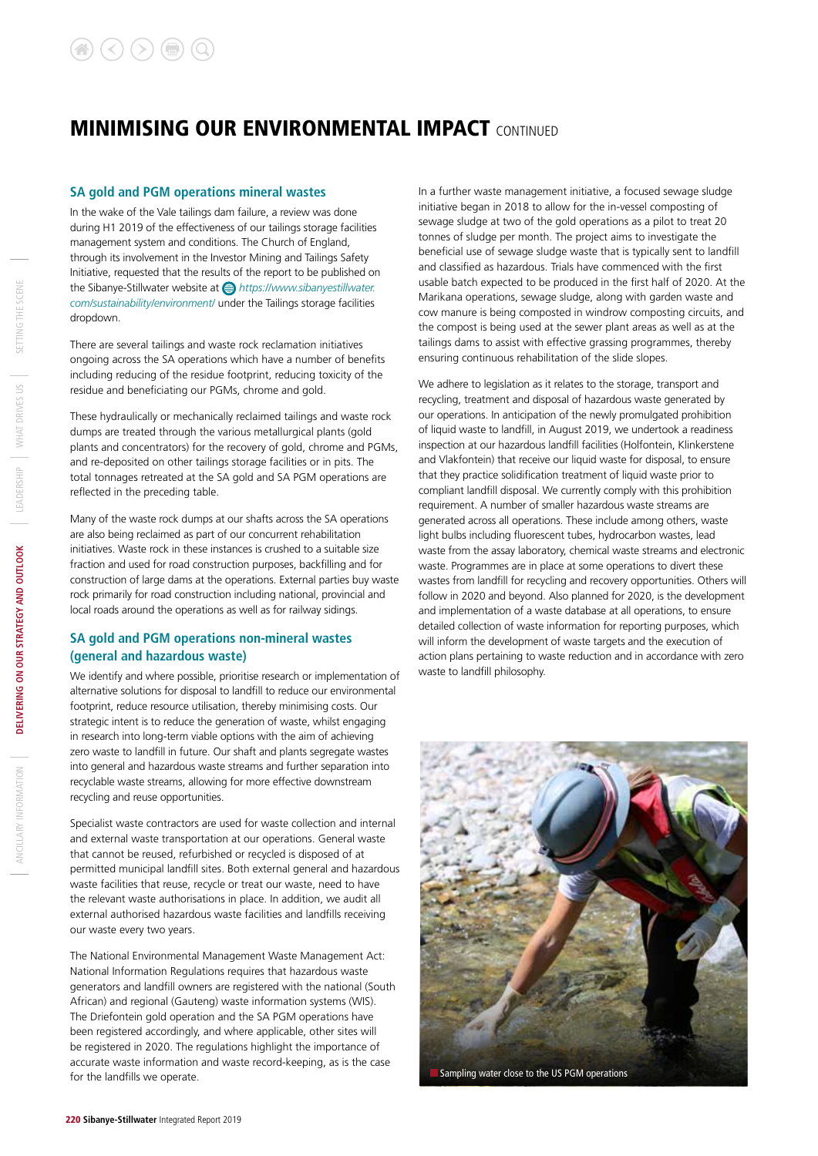#### **SA gold and PGM operations mineral wastes**

In the wake of the Vale tailings dam failure, a review was done during H1 2019 of the effectiveness of our tailings storage facilities management system and conditions. The Church of England, through its involvement in the Investor Mining and Tailings Safety Initiative, requested that the results of the report to be published on the Sibanye-Stillwater website at *https://www.sibanyestillwater. com/sustainability/environment*/ under the Tailings storage facilities dropdown.

There are several tailings and waste rock reclamation initiatives ongoing across the SA operations which have a number of benefits including reducing of the residue footprint, reducing toxicity of the residue and beneficiating our PGMs, chrome and gold.

These hydraulically or mechanically reclaimed tailings and waste rock dumps are treated through the various metallurgical plants (gold plants and concentrators) for the recovery of gold, chrome and PGMs, and re-deposited on other tailings storage facilities or in pits. The total tonnages retreated at the SA gold and SA PGM operations are reflected in the preceding table.

Many of the waste rock dumps at our shafts across the SA operations are also being reclaimed as part of our concurrent rehabilitation initiatives. Waste rock in these instances is crushed to a suitable size fraction and used for road construction purposes, backfilling and for construction of large dams at the operations. External parties buy waste rock primarily for road construction including national, provincial and local roads around the operations as well as for railway sidings.

#### **SA gold and PGM operations non-mineral wastes (general and hazardous waste)**

We identify and where possible, prioritise research or implementation of alternative solutions for disposal to landfill to reduce our environmental footprint, reduce resource utilisation, thereby minimising costs. Our strategic intent is to reduce the generation of waste, whilst engaging in research into long-term viable options with the aim of achieving zero waste to landfill in future. Our shaft and plants segregate wastes into general and hazardous waste streams and further separation into recyclable waste streams, allowing for more effective downstream recycling and reuse opportunities.

Specialist waste contractors are used for waste collection and internal and external waste transportation at our operations. General waste that cannot be reused, refurbished or recycled is disposed of at permitted municipal landfill sites. Both external general and hazardous waste facilities that reuse, recycle or treat our waste, need to have the relevant waste authorisations in place. In addition, we audit all external authorised hazardous waste facilities and landfills receiving our waste every two years.

The National Environmental Management Waste Management Act: National Information Regulations requires that hazardous waste generators and landfill owners are registered with the national (South African) and regional (Gauteng) waste information systems (WIS). The Driefontein gold operation and the SA PGM operations have been registered accordingly, and where applicable, other sites will be registered in 2020. The regulations highlight the importance of accurate waste information and waste record-keeping, as is the case for the landfills we operate.

In a further waste management initiative, a focused sewage sludge initiative began in 2018 to allow for the in-vessel composting of sewage sludge at two of the gold operations as a pilot to treat 20 tonnes of sludge per month. The project aims to investigate the beneficial use of sewage sludge waste that is typically sent to landfill and classified as hazardous. Trials have commenced with the first usable batch expected to be produced in the first half of 2020. At the Marikana operations, sewage sludge, along with garden waste and cow manure is being composted in windrow composting circuits, and the compost is being used at the sewer plant areas as well as at the tailings dams to assist with effective grassing programmes, thereby ensuring continuous rehabilitation of the slide slopes.

We adhere to legislation as it relates to the storage, transport and recycling, treatment and disposal of hazardous waste generated by our operations. In anticipation of the newly promulgated prohibition of liquid waste to landfill, in August 2019, we undertook a readiness inspection at our hazardous landfill facilities (Holfontein, Klinkerstene and Vlakfontein) that receive our liquid waste for disposal, to ensure that they practice solidification treatment of liquid waste prior to compliant landfill disposal. We currently comply with this prohibition requirement. A number of smaller hazardous waste streams are generated across all operations. These include among others, waste light bulbs including fluorescent tubes, hydrocarbon wastes, lead waste from the assay laboratory, chemical waste streams and electronic waste. Programmes are in place at some operations to divert these wastes from landfill for recycling and recovery opportunities. Others will follow in 2020 and beyond. Also planned for 2020, is the development and implementation of a waste database at all operations, to ensure detailed collection of waste information for reporting purposes, which will inform the development of waste targets and the execution of action plans pertaining to waste reduction and in accordance with zero waste to landfill philosophy.



Sampling water close to the US PGM operations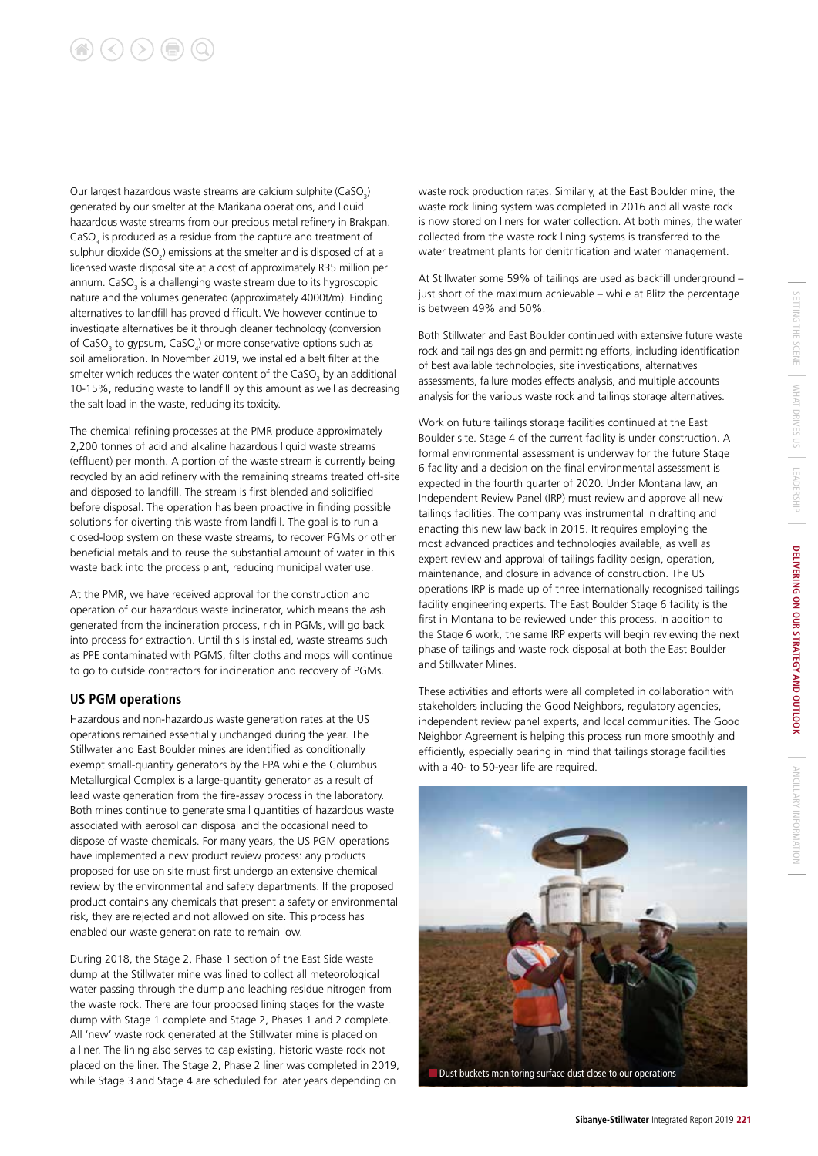# $\left(\langle\right)\left(\rangle\right)\left(\mathbf{r}\right)\left(\mathbf{Q}\right)$

Our largest hazardous waste streams are calcium sulphite (CaSO<sub>3</sub>) generated by our smelter at the Marikana operations, and liquid hazardous waste streams from our precious metal refinery in Brakpan.  $CaSO<sub>3</sub>$  is produced as a residue from the capture and treatment of sulphur dioxide (SO<sub>2</sub>) emissions at the smelter and is disposed of at a licensed waste disposal site at a cost of approximately R35 million per annum.  $\textsf{CaSO}_3$  is a challenging waste stream due to its hygroscopic nature and the volumes generated (approximately 4000t/m). Finding alternatives to landfill has proved difficult. We however continue to investigate alternatives be it through cleaner technology (conversion of CaSO<sub>3</sub> to gypsum, CaSO<sub>4</sub>) or more conservative options such as soil amelioration. In November 2019, we installed a belt filter at the smelter which reduces the water content of the CaSO<sub>3</sub> by an additional 10-15%, reducing waste to landfill by this amount as well as decreasing the salt load in the waste, reducing its toxicity.

The chemical refining processes at the PMR produce approximately 2,200 tonnes of acid and alkaline hazardous liquid waste streams (effluent) per month. A portion of the waste stream is currently being recycled by an acid refinery with the remaining streams treated off-site and disposed to landfill. The stream is first blended and solidified before disposal. The operation has been proactive in finding possible solutions for diverting this waste from landfill. The goal is to run a closed-loop system on these waste streams, to recover PGMs or other beneficial metals and to reuse the substantial amount of water in this waste back into the process plant, reducing municipal water use.

At the PMR, we have received approval for the construction and operation of our hazardous waste incinerator, which means the ash generated from the incineration process, rich in PGMs, will go back into process for extraction. Until this is installed, waste streams such as PPE contaminated with PGMS, filter cloths and mops will continue to go to outside contractors for incineration and recovery of PGMs.

#### **US PGM operations**

Hazardous and non-hazardous waste generation rates at the US operations remained essentially unchanged during the year. The Stillwater and East Boulder mines are identified as conditionally exempt small-quantity generators by the EPA while the Columbus Metallurgical Complex is a large-quantity generator as a result of lead waste generation from the fire-assay process in the laboratory. Both mines continue to generate small quantities of hazardous waste associated with aerosol can disposal and the occasional need to dispose of waste chemicals. For many years, the US PGM operations have implemented a new product review process: any products proposed for use on site must first undergo an extensive chemical review by the environmental and safety departments. If the proposed product contains any chemicals that present a safety or environmental risk, they are rejected and not allowed on site. This process has enabled our waste generation rate to remain low.

During 2018, the Stage 2, Phase 1 section of the East Side waste dump at the Stillwater mine was lined to collect all meteorological water passing through the dump and leaching residue nitrogen from the waste rock. There are four proposed lining stages for the waste dump with Stage 1 complete and Stage 2, Phases 1 and 2 complete. All 'new' waste rock generated at the Stillwater mine is placed on a liner. The lining also serves to cap existing, historic waste rock not placed on the liner. The Stage 2, Phase 2 liner was completed in 2019, while Stage 3 and Stage 4 are scheduled for later years depending on

waste rock production rates. Similarly, at the East Boulder mine, the waste rock lining system was completed in 2016 and all waste rock is now stored on liners for water collection. At both mines, the water collected from the waste rock lining systems is transferred to the water treatment plants for denitrification and water management.

At Stillwater some 59% of tailings are used as backfill underground – just short of the maximum achievable – while at Blitz the percentage is between 49% and 50%.

Both Stillwater and East Boulder continued with extensive future waste rock and tailings design and permitting efforts, including identification of best available technologies, site investigations, alternatives assessments, failure modes effects analysis, and multiple accounts analysis for the various waste rock and tailings storage alternatives.

Work on future tailings storage facilities continued at the East Boulder site. Stage 4 of the current facility is under construction. A formal environmental assessment is underway for the future Stage 6 facility and a decision on the final environmental assessment is expected in the fourth quarter of 2020. Under Montana law, an Independent Review Panel (IRP) must review and approve all new tailings facilities. The company was instrumental in drafting and enacting this new law back in 2015. It requires employing the most advanced practices and technologies available, as well as expert review and approval of tailings facility design, operation, maintenance, and closure in advance of construction. The US operations IRP is made up of three internationally recognised tailings facility engineering experts. The East Boulder Stage 6 facility is the first in Montana to be reviewed under this process. In addition to the Stage 6 work, the same IRP experts will begin reviewing the next phase of tailings and waste rock disposal at both the East Boulder and Stillwater Mines.

These activities and efforts were all completed in collaboration with stakeholders including the Good Neighbors, regulatory agencies, independent review panel experts, and local communities. The Good Neighbor Agreement is helping this process run more smoothly and efficiently, especially bearing in mind that tailings storage facilities with a 40- to 50-year life are required.

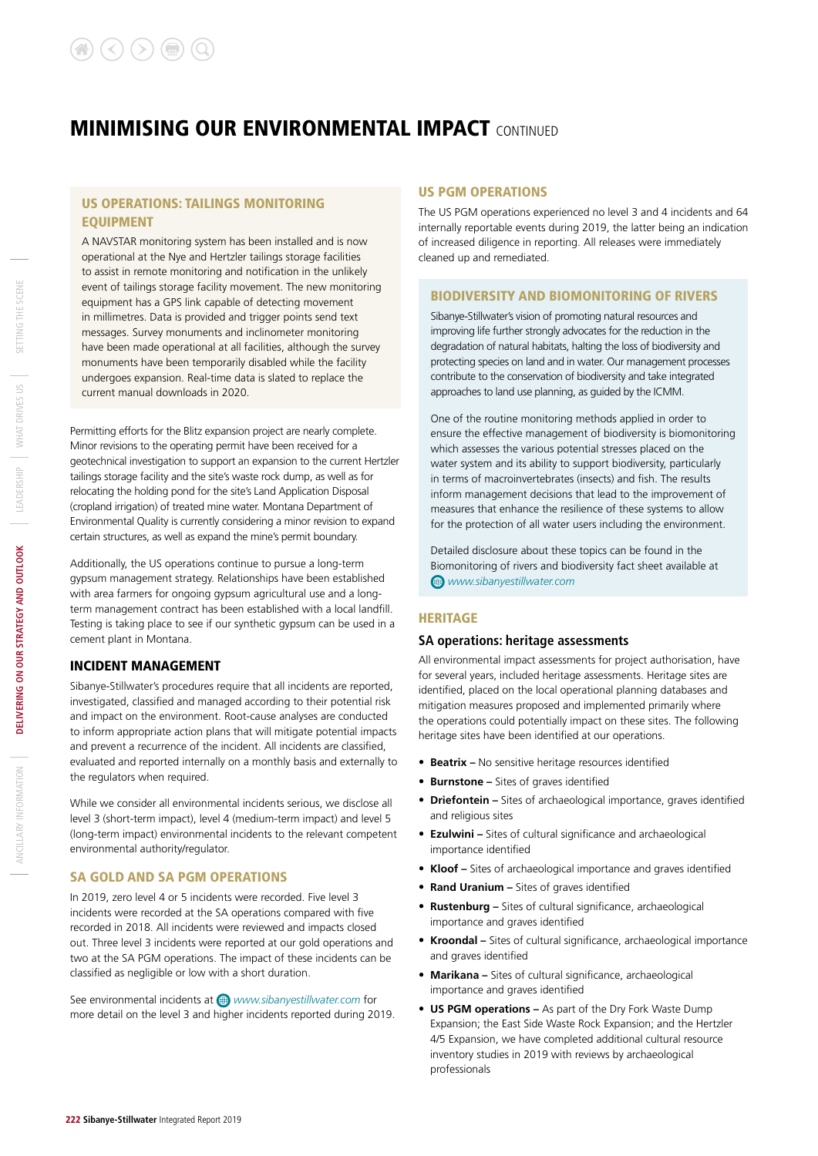#### US OPERATIONS: TAILINGS MONITORING EQUIPMENT

A NAVSTAR monitoring system has been installed and is now operational at the Nye and Hertzler tailings storage facilities to assist in remote monitoring and notification in the unlikely event of tailings storage facility movement. The new monitoring equipment has a GPS link capable of detecting movement in millimetres. Data is provided and trigger points send text messages. Survey monuments and inclinometer monitoring have been made operational at all facilities, although the survey monuments have been temporarily disabled while the facility undergoes expansion. Real-time data is slated to replace the current manual downloads in 2020.

Permitting efforts for the Blitz expansion project are nearly complete. Minor revisions to the operating permit have been received for a geotechnical investigation to support an expansion to the current Hertzler tailings storage facility and the site's waste rock dump, as well as for relocating the holding pond for the site's Land Application Disposal (cropland irrigation) of treated mine water. Montana Department of Environmental Quality is currently considering a minor revision to expand certain structures, as well as expand the mine's permit boundary.

Additionally, the US operations continue to pursue a long-term gypsum management strategy. Relationships have been established with area farmers for ongoing gypsum agricultural use and a longterm management contract has been established with a local landfill. Testing is taking place to see if our synthetic gypsum can be used in a cement plant in Montana.

#### INCIDENT MANAGEMENT

Sibanye-Stillwater's procedures require that all incidents are reported, investigated, classified and managed according to their potential risk and impact on the environment. Root-cause analyses are conducted to inform appropriate action plans that will mitigate potential impacts and prevent a recurrence of the incident. All incidents are classified, evaluated and reported internally on a monthly basis and externally to the regulators when required.

While we consider all environmental incidents serious, we disclose all level 3 (short-term impact), level 4 (medium-term impact) and level 5 (long-term impact) environmental incidents to the relevant competent environmental authority/regulator.

#### SA GOLD AND SA PGM OPERATIONS

In 2019, zero level 4 or 5 incidents were recorded. Five level 3 incidents were recorded at the SA operations compared with five recorded in 2018. All incidents were reviewed and impacts closed out. Three level 3 incidents were reported at our gold operations and two at the SA PGM operations. The impact of these incidents can be classified as negligible or low with a short duration.

See environmental incidents at *www.sibanyestillwater.com* for more detail on the level 3 and higher incidents reported during 2019.

#### US PGM OPERATIONS

The US PGM operations experienced no level 3 and 4 incidents and 64 internally reportable events during 2019, the latter being an indication of increased diligence in reporting. All releases were immediately cleaned up and remediated.

#### BIODIVERSITY AND BIOMONITORING OF RIVERS

Sibanye-Stillwater's vision of promoting natural resources and improving life further strongly advocates for the reduction in the degradation of natural habitats, halting the loss of biodiversity and protecting species on land and in water. Our management processes contribute to the conservation of biodiversity and take integrated approaches to land use planning, as guided by the ICMM.

One of the routine monitoring methods applied in order to ensure the effective management of biodiversity is biomonitoring which assesses the various potential stresses placed on the water system and its ability to support biodiversity, particularly in terms of macroinvertebrates (insects) and fish. The results inform management decisions that lead to the improvement of measures that enhance the resilience of these systems to allow for the protection of all water users including the environment.

Detailed disclosure about these topics can be found in the Biomonitoring of rivers and biodiversity fact sheet available at *www.sibanyestillwater.com* 

#### HERITAGE

#### **SA operations: heritage assessments**

All environmental impact assessments for project authorisation, have for several years, included heritage assessments. Heritage sites are identified, placed on the local operational planning databases and mitigation measures proposed and implemented primarily where the operations could potentially impact on these sites. The following heritage sites have been identified at our operations.

- **Beatrix –** No sensitive heritage resources identified
- **Burnstone –** Sites of graves identified
- **Driefontein** Sites of archaeological importance, graves identified and religious sites
- **Ezulwini –** Sites of cultural significance and archaeological importance identified
- **Kloof –** Sites of archaeological importance and graves identified
- **Rand Uranium –** Sites of graves identified
- **Rustenburg –** Sites of cultural significance, archaeological importance and graves identified
- **Kroondal –** Sites of cultural significance, archaeological importance and graves identified
- **Marikana** Sites of cultural significance, archaeological importance and graves identified
- **US PGM operations –** As part of the Dry Fork Waste Dump Expansion; the East Side Waste Rock Expansion; and the Hertzler 4/5 Expansion, we have completed additional cultural resource inventory studies in 2019 with reviews by archaeological professionals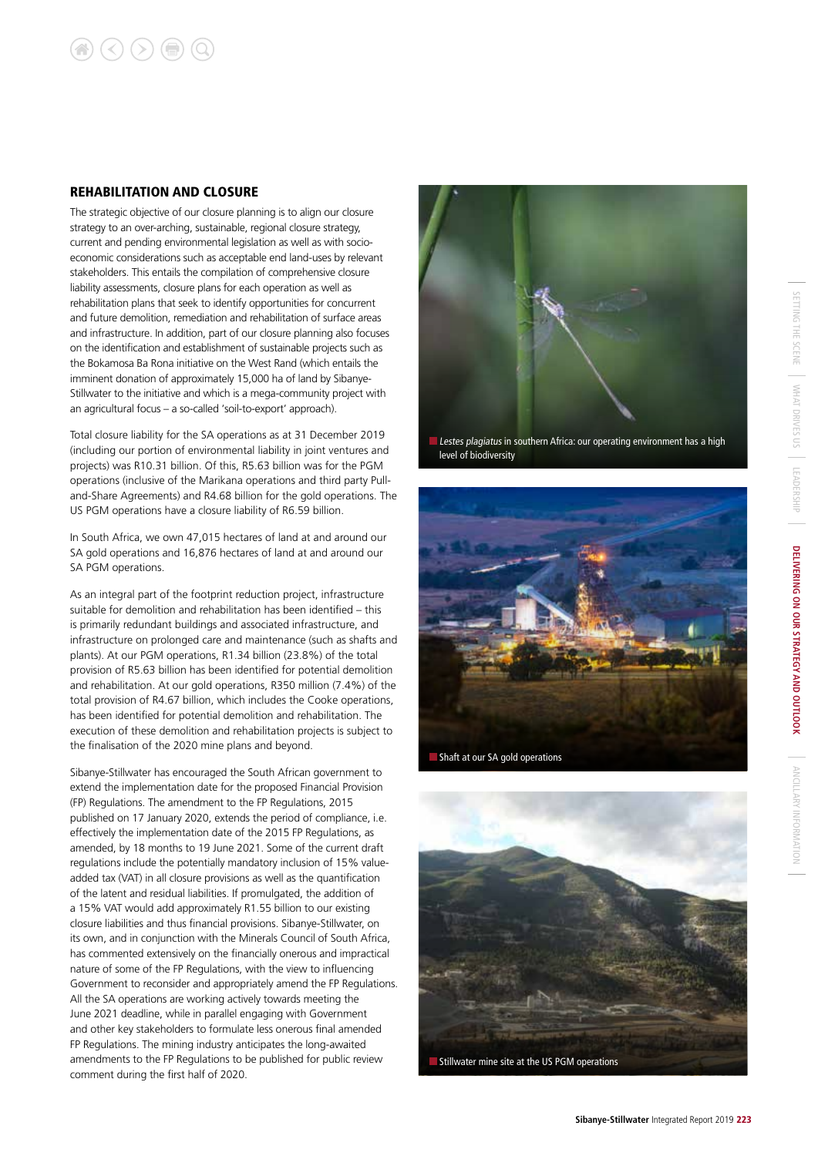#### REHABILITATION AND CLOSURE

The strategic objective of our closure planning is to align our closure strategy to an over-arching, sustainable, regional closure strategy, current and pending environmental legislation as well as with socioeconomic considerations such as acceptable end land-uses by relevant stakeholders. This entails the compilation of comprehensive closure liability assessments, closure plans for each operation as well as rehabilitation plans that seek to identify opportunities for concurrent and future demolition, remediation and rehabilitation of surface areas and infrastructure. In addition, part of our closure planning also focuses on the identification and establishment of sustainable projects such as the Bokamosa Ba Rona initiative on the West Rand (which entails the imminent donation of approximately 15,000 ha of land by Sibanye-Stillwater to the initiative and which is a mega-community project with an agricultural focus – a so-called 'soil-to-export' approach).

Total closure liability for the SA operations as at 31 December 2019 (including our portion of environmental liability in joint ventures and projects) was R10.31 billion. Of this, R5.63 billion was for the PGM operations (inclusive of the Marikana operations and third party Pulland-Share Agreements) and R4.68 billion for the gold operations. The US PGM operations have a closure liability of R6.59 billion.

In South Africa, we own 47,015 hectares of land at and around our SA gold operations and 16,876 hectares of land at and around our SA PGM operations.

As an integral part of the footprint reduction project, infrastructure suitable for demolition and rehabilitation has been identified – this is primarily redundant buildings and associated infrastructure, and infrastructure on prolonged care and maintenance (such as shafts and plants). At our PGM operations, R1.34 billion (23.8%) of the total provision of R5.63 billion has been identified for potential demolition and rehabilitation. At our gold operations, R350 million (7.4%) of the total provision of R4.67 billion, which includes the Cooke operations, has been identified for potential demolition and rehabilitation. The execution of these demolition and rehabilitation projects is subject to the finalisation of the 2020 mine plans and beyond.

Sibanye-Stillwater has encouraged the South African government to extend the implementation date for the proposed Financial Provision (FP) Regulations. The amendment to the FP Regulations, 2015 published on 17 January 2020, extends the period of compliance, i.e. effectively the implementation date of the 2015 FP Regulations, as amended, by 18 months to 19 June 2021. Some of the current draft regulations include the potentially mandatory inclusion of 15% valueadded tax (VAT) in all closure provisions as well as the quantification of the latent and residual liabilities. If promulgated, the addition of a 15% VAT would add approximately R1.55 billion to our existing closure liabilities and thus financial provisions. Sibanye-Stillwater, on its own, and in conjunction with the Minerals Council of South Africa, has commented extensively on the financially onerous and impractical nature of some of the FP Regulations, with the view to influencing Government to reconsider and appropriately amend the FP Regulations. All the SA operations are working actively towards meeting the June 2021 deadline, while in parallel engaging with Government and other key stakeholders to formulate less onerous final amended FP Regulations. The mining industry anticipates the long-awaited amendments to the FP Regulations to be published for public review comment during the first half of 2020.



Lestes plagiatus in southern Africa: our operating environment has a high level of biodiversity





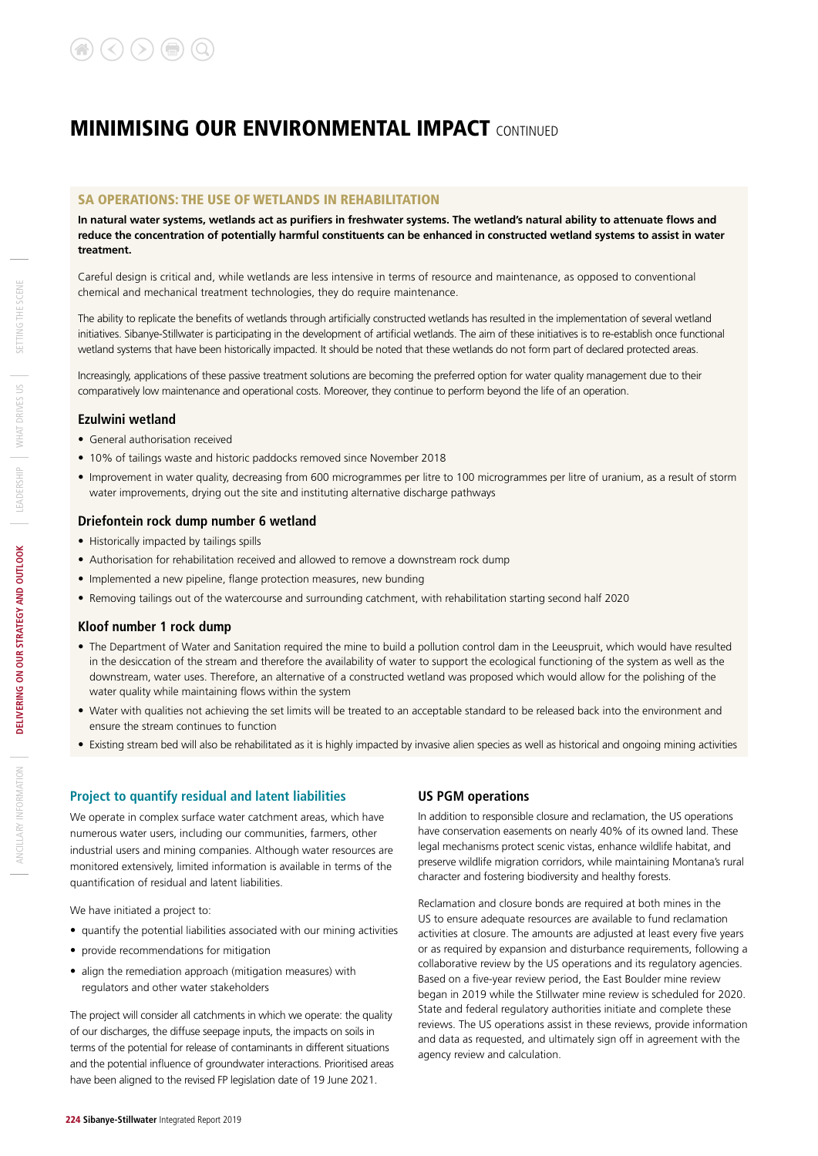#### SA OPERATIONS: THE USE OF WETLANDS IN REHABILITATION

**In natural water systems, wetlands act as purifiers in freshwater systems. The wetland's natural ability to attenuate flows and reduce the concentration of potentially harmful constituents can be enhanced in constructed wetland systems to assist in water treatment.** 

Careful design is critical and, while wetlands are less intensive in terms of resource and maintenance, as opposed to conventional chemical and mechanical treatment technologies, they do require maintenance.

The ability to replicate the benefits of wetlands through artificially constructed wetlands has resulted in the implementation of several wetland initiatives. Sibanye-Stillwater is participating in the development of artificial wetlands. The aim of these initiatives is to re-establish once functional wetland systems that have been historically impacted. It should be noted that these wetlands do not form part of declared protected areas.

Increasingly, applications of these passive treatment solutions are becoming the preferred option for water quality management due to their comparatively low maintenance and operational costs. Moreover, they continue to perform beyond the life of an operation.

#### **Ezulwini wetland**

- General authorisation received
- 10% of tailings waste and historic paddocks removed since November 2018
- Improvement in water quality, decreasing from 600 microgrammes per litre to 100 microgrammes per litre of uranium, as a result of storm water improvements, drying out the site and instituting alternative discharge pathways

#### **Driefontein rock dump number 6 wetland**

- Historically impacted by tailings spills
- Authorisation for rehabilitation received and allowed to remove a downstream rock dump
- Implemented a new pipeline, flange protection measures, new bunding
- Removing tailings out of the watercourse and surrounding catchment, with rehabilitation starting second half 2020

#### **Kloof number 1 rock dump**

- The Department of Water and Sanitation required the mine to build a pollution control dam in the Leeuspruit, which would have resulted in the desiccation of the stream and therefore the availability of water to support the ecological functioning of the system as well as the downstream, water uses. Therefore, an alternative of a constructed wetland was proposed which would allow for the polishing of the water quality while maintaining flows within the system
- Water with qualities not achieving the set limits will be treated to an acceptable standard to be released back into the environment and ensure the stream continues to function
- Existing stream bed will also be rehabilitated as it is highly impacted by invasive alien species as well as historical and ongoing mining activities

#### **Project to quantify residual and latent liabilities**

We operate in complex surface water catchment areas, which have numerous water users, including our communities, farmers, other industrial users and mining companies. Although water resources are monitored extensively, limited information is available in terms of the quantification of residual and latent liabilities.

We have initiated a project to:

- quantify the potential liabilities associated with our mining activities
- provide recommendations for mitigation
- align the remediation approach (mitigation measures) with regulators and other water stakeholders

The project will consider all catchments in which we operate: the quality of our discharges, the diffuse seepage inputs, the impacts on soils in terms of the potential for release of contaminants in different situations and the potential influence of groundwater interactions. Prioritised areas have been aligned to the revised FP legislation date of 19 June 2021.

#### **US PGM operations**

In addition to responsible closure and reclamation, the US operations have conservation easements on nearly 40% of its owned land. These legal mechanisms protect scenic vistas, enhance wildlife habitat, and preserve wildlife migration corridors, while maintaining Montana's rural character and fostering biodiversity and healthy forests.

Reclamation and closure bonds are required at both mines in the US to ensure adequate resources are available to fund reclamation activities at closure. The amounts are adjusted at least every five years or as required by expansion and disturbance requirements, following a collaborative review by the US operations and its regulatory agencies. Based on a five-year review period, the East Boulder mine review began in 2019 while the Stillwater mine review is scheduled for 2020. State and federal regulatory authorities initiate and complete these reviews. The US operations assist in these reviews, provide information and data as requested, and ultimately sign off in agreement with the agency review and calculation.